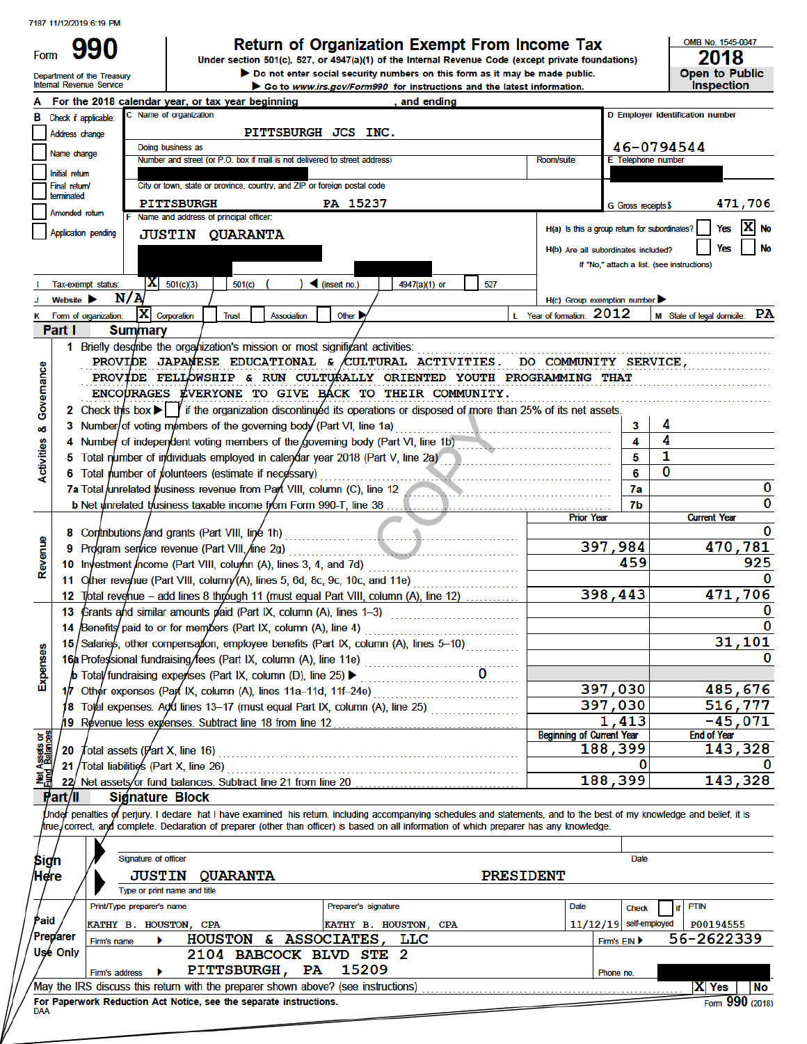Form

 $\sqrt{\ }$ 

990

Department of the Treasury<br>Internal Revenue Service

## Return of Organization Exempt From Income Tax

Under section 501(c), 527, or 4947(a)(1) of the Internal Revenue Code (except private foundations) Do not enter social security numbers on this form as it may be made public.

OMB No. 1545-0047 2018<br>Open to Public<br>Inspection

| So to www.irs.gov/Form990 for instructions and the latest information. |  |  |
|------------------------------------------------------------------------|--|--|

|                                |                               | and ending<br>For the 2018 calendar year, or tax year beginning                                                                                                                                  |                                               |                                                 |
|--------------------------------|-------------------------------|--------------------------------------------------------------------------------------------------------------------------------------------------------------------------------------------------|-----------------------------------------------|-------------------------------------------------|
| в                              | Check if applicable:          | C Name of organization                                                                                                                                                                           |                                               | D Employer identification number                |
|                                | Address change                | PITTSBURGH JCS INC.                                                                                                                                                                              |                                               |                                                 |
|                                | Name change                   | Doing business as                                                                                                                                                                                |                                               | 46-0794544                                      |
|                                |                               | Number and street (or P.O. box if mail is not delivered to street address)<br>Room/suite                                                                                                         | <b>E</b> Telephone number                     |                                                 |
|                                | Initial return                | City or town, state or province, country, and ZIP or foreign postal code                                                                                                                         |                                               |                                                 |
|                                | Final return/<br>terminated   |                                                                                                                                                                                                  |                                               |                                                 |
|                                | Amended return                | PA 15237<br><b>PITTSBURGH</b>                                                                                                                                                                    | G Gross receipts \$                           | 471,706                                         |
|                                |                               | F Name and address of principal officer:                                                                                                                                                         | H(a) Is this a group return for subordinates? | X No<br>Yes                                     |
|                                | Application pending           | <b>JUSTIN QUARANTA</b>                                                                                                                                                                           |                                               |                                                 |
|                                |                               |                                                                                                                                                                                                  | H(b) Are all subordinates included?           |                                                 |
|                                |                               |                                                                                                                                                                                                  |                                               | If "No," attach a list. (see instructions)      |
|                                | Tax-exempt status:            | $ X $ 501(c)(3)<br>501(c)<br>$\triangleleft$ (insert no.)<br>4947(a)(1) or<br>527                                                                                                                |                                               |                                                 |
|                                | Website $\blacktriangleright$ | N/A                                                                                                                                                                                              | $H(c)$ Group exemption number                 |                                                 |
|                                | Form of organization:         | L Year of formation: 2012<br>X Corporation<br>Other $\blacktriangleright$<br>Trust<br>Association                                                                                                |                                               | <b>M</b> State of legal domicile: $\mathbf{PA}$ |
|                                | Part I                        | <b>Summary</b>                                                                                                                                                                                   |                                               |                                                 |
|                                |                               | 1 Briefly describe the organization's mission or most significant activities:                                                                                                                    |                                               |                                                 |
|                                |                               | PROVIDE JAPAMESE EDUCATIONAL & CULTURAL ACTIVITIES. DO COMMUNITY SERVICE,                                                                                                                        |                                               |                                                 |
|                                |                               | PROVIDE FELLOWSHIP & RUN CULTURALLY ORIENTED YOUTH PROGRAMMING THAT                                                                                                                              |                                               |                                                 |
|                                |                               | ENCOURAGES EVERYONE TO GIVE BACK TO THEIR COMMUNITY.                                                                                                                                             |                                               |                                                 |
| Governance                     |                               | 2 Check this box     if the organization discontinued its operations or disposed of more than 25% of its net assets.                                                                             |                                               |                                                 |
| ಟೆ                             |                               | 3 Number/of voting members of the governing body (Part VI, line 1a)                                                                                                                              | 3                                             | 4                                               |
|                                |                               | Number of independent voting members of the governing body (Part VI, line 1b)                                                                                                                    | 4                                             | 4                                               |
| Activities                     | 5                             | Total number of individuals employed in calendar year 2018 (Part V, line 2a)                                                                                                                     | 5                                             | 1                                               |
|                                |                               |                                                                                                                                                                                                  | 6                                             | 0                                               |
|                                |                               | 7a Total unrelated pusiness revenue from Part VIII, column (C), line 12                                                                                                                          | 7a                                            | 0                                               |
|                                |                               |                                                                                                                                                                                                  | 7b                                            | 0                                               |
|                                |                               | <b>Prior Year</b>                                                                                                                                                                                |                                               | <b>Current Year</b>                             |
|                                |                               | 8 Cortributions and grants (Part VIII, line 1h)                                                                                                                                                  |                                               | 0                                               |
|                                |                               | 9 Program service revenue (Part VIII, /ine 2g)                                                                                                                                                   | 397,984                                       | 470,781                                         |
| Revenue                        |                               | 10 Investment <i>income</i> (Part VIII, column (A), lines 3, 4, and 7d)<br><u> 1966 - Johann Stoff, Amerikaansk ferstjer om de foarmen in de foarmen in de foarmen in de foarmen in de foarm</u> | 459                                           | 925                                             |
|                                |                               | 11 Other revenue (Part VIII, column/(A), lines 5, 6d, 8c, 9c, 10c, and 11e)<br><u> 1999 - Alexandr Storman, poet</u>                                                                             |                                               |                                                 |
|                                |                               | 12 Total revenue - add lines 8 through 11 (must equal Part VIII, column (A), line 12)                                                                                                            | 398,443                                       | 471,706                                         |
|                                |                               | 13 Grants and similar amounts paid (Part IX, column (A), lines 1–3)                                                                                                                              |                                               |                                                 |
|                                | 14                            | Benefits paid to or for members (Part IX, column (A), line 4)                                                                                                                                    |                                               |                                                 |
|                                |                               | 15 Salaries, other compensation, employee benefits (Part IX, column (A), lines 5-10)                                                                                                             |                                               | 31,101                                          |
| penses                         |                               | 16 <sup>a</sup> Professional fundraising/fees (Part IX, column (A), line 11e)                                                                                                                    |                                               |                                                 |
| ŵ                              |                               | 0<br>$\phi$ Total/fundraising experises (Part IX, column (D), line 25) $\blacktriangleright$                                                                                                     |                                               |                                                 |
|                                |                               | 1/7 Other expenses (Part IX, column (A), lines 11a-11d, 11f-24e)                                                                                                                                 | 397,030                                       | 485,676                                         |
|                                |                               | 8 Total expenses. Add lines 13–17 (must equal Part IX, column (A), line 25)                                                                                                                      | 397,030                                       | 516,777                                         |
|                                |                               | 19 Revenue less expenses. Subtract line 18 from line 12<br><b>Beginning of Current Year</b>                                                                                                      | 1,413                                         | $-45,071$<br><b>End of Year</b>                 |
| Net Assets or<br>Eund_Balances | 20                            | $\int$ otal assets ( $\int$ art X, line 16)                                                                                                                                                      | 188,399                                       | 143,328                                         |
|                                | 21                            | Total liabilities (Part X, line 26)                                                                                                                                                              | o                                             |                                                 |
|                                |                               | Net assets/or fund balances. Subtract line 21 from line 20                                                                                                                                       | 188,399                                       | 143,328                                         |
|                                | Part/II                       | <b>Signature Block</b>                                                                                                                                                                           |                                               |                                                 |
|                                |                               | Under penalties of perjury, I declare hat I have examined his retum, including accompanying schedules and statements, and to the best of my knowledge and belief, it is                          |                                               |                                                 |
|                                |                               | true/correct, and complete. Declaration of preparer (other than officer) is based on all information of which preparer has any knowledge.                                                        |                                               |                                                 |
|                                |                               |                                                                                                                                                                                                  |                                               |                                                 |
| Sign                           |                               | Signature of officer                                                                                                                                                                             | Date                                          |                                                 |
| /He⁄re                         |                               | <b>JUSTIN</b><br><b>QUARANTA</b><br><b>PRESIDENT</b>                                                                                                                                             |                                               |                                                 |
|                                |                               | Type or print name and title                                                                                                                                                                     |                                               |                                                 |
|                                |                               | Print/Type preparer's name<br>Preparer's signature<br>Date                                                                                                                                       | <b>Check</b>                                  | <b>PTIN</b>                                     |
| Paid                           |                               | KATHY B. HOUSTON, CPA<br>KATHY B. HOUSTON, CPA                                                                                                                                                   | $11/12/19$ self-employed                      | P00194555                                       |
|                                | /Prep <sup>/</sup> arer       | HOUSTON & ASSOCIATES,<br><b>TTC</b>                                                                                                                                                              | Firm's EIN                                    | 56-2622339                                      |
|                                | Firm's name<br>Use Only       | 2104 BABCOCK BLVD STE 2                                                                                                                                                                          |                                               |                                                 |
|                                |                               |                                                                                                                                                                                                  |                                               |                                                 |

|  |            |                | ZIVI DADCOCK DUVD DIE Z                                                            |    |       |           |   |                 |           |
|--|------------|----------------|------------------------------------------------------------------------------------|----|-------|-----------|---|-----------------|-----------|
|  |            | Firm's address | <b>PITTSBURGH.</b>                                                                 | PA | 15209 | Phone no. |   |                 |           |
|  |            |                | /May the IRS discuss this return with the preparer shown above? (see instructions) |    |       |           | M | Yes             | <b>No</b> |
|  |            |                | For Paperwork Reduction Act Notice, see the separate instructions.                 |    |       |           |   | Form 990 (2018) |           |
|  | <b>DAA</b> |                |                                                                                    |    |       |           |   |                 |           |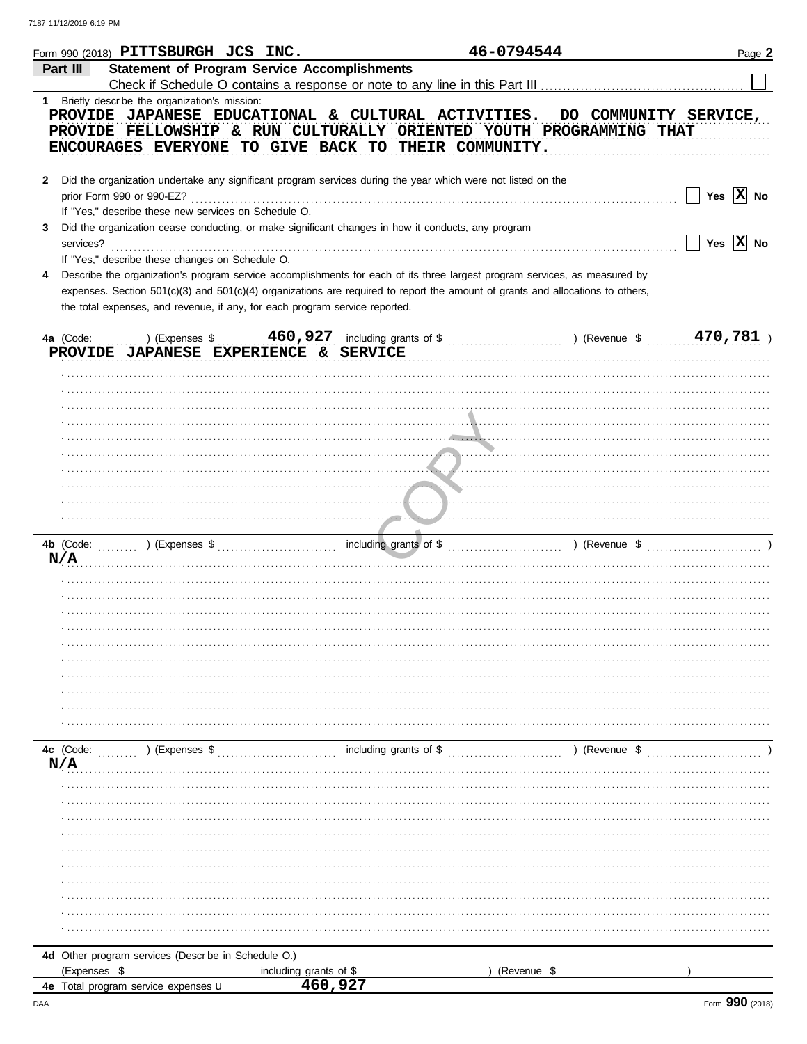|              | Form 990 (2018) $\verb PITTSBURGH JCS INC.$                                                                                                                                                                                                                                                                                                 |                                                     | 46-0794544                                                                   |                                      | Page 2                |
|--------------|---------------------------------------------------------------------------------------------------------------------------------------------------------------------------------------------------------------------------------------------------------------------------------------------------------------------------------------------|-----------------------------------------------------|------------------------------------------------------------------------------|--------------------------------------|-----------------------|
|              | Part III                                                                                                                                                                                                                                                                                                                                    | <b>Statement of Program Service Accomplishments</b> | Check if Schedule O contains a response or note to any line in this Part III |                                      |                       |
| 1.           | Briefly descr be the organization's mission:                                                                                                                                                                                                                                                                                                |                                                     |                                                                              |                                      |                       |
|              | PROVIDE JAPANESE EDUCATIONAL & CULTURAL ACTIVITIES.<br>PROVIDE FELLOWSHIP & RUN CULTURALLY ORIENTED YOUTH PROGRAMMING<br>ENCOURAGES EVERYONE TO GIVE BACK TO THEIR COMMUNITY.                                                                                                                                                               |                                                     |                                                                              | DO COMMUNITY SERVICE,<br><b>THAT</b> |                       |
| $\mathbf{2}$ | Did the organization undertake any significant program services during the year which were not listed on the                                                                                                                                                                                                                                |                                                     |                                                                              |                                      |                       |
|              | prior Form 990 or 990-EZ?                                                                                                                                                                                                                                                                                                                   |                                                     |                                                                              |                                      | Yes $\overline{X}$ No |
|              | If "Yes," describe these new services on Schedule O.                                                                                                                                                                                                                                                                                        |                                                     |                                                                              |                                      |                       |
| 3            | Did the organization cease conducting, or make significant changes in how it conducts, any program                                                                                                                                                                                                                                          |                                                     |                                                                              |                                      |                       |
|              | services?                                                                                                                                                                                                                                                                                                                                   |                                                     |                                                                              |                                      | Yes $\overline{X}$ No |
|              | If "Yes," describe these changes on Schedule O.                                                                                                                                                                                                                                                                                             |                                                     |                                                                              |                                      |                       |
| 4            | Describe the organization's program service accomplishments for each of its three largest program services, as measured by<br>expenses. Section 501(c)(3) and 501(c)(4) organizations are required to report the amount of grants and allocations to others,<br>the total expenses, and revenue, if any, for each program service reported. |                                                     |                                                                              |                                      |                       |
|              | 4a (Code:<br>) (Expenses \$                                                                                                                                                                                                                                                                                                                 |                                                     |                                                                              | ) (Revenue \$470,781)                |                       |
|              | PROVIDE JAPANESE EXPERIENCE & SERVICE                                                                                                                                                                                                                                                                                                       |                                                     |                                                                              |                                      |                       |
|              |                                                                                                                                                                                                                                                                                                                                             |                                                     |                                                                              |                                      |                       |
|              |                                                                                                                                                                                                                                                                                                                                             |                                                     |                                                                              |                                      |                       |
|              |                                                                                                                                                                                                                                                                                                                                             |                                                     |                                                                              |                                      |                       |
|              |                                                                                                                                                                                                                                                                                                                                             |                                                     |                                                                              |                                      |                       |
|              |                                                                                                                                                                                                                                                                                                                                             |                                                     |                                                                              |                                      |                       |
|              |                                                                                                                                                                                                                                                                                                                                             |                                                     |                                                                              |                                      |                       |
|              |                                                                                                                                                                                                                                                                                                                                             |                                                     |                                                                              |                                      |                       |
|              |                                                                                                                                                                                                                                                                                                                                             |                                                     |                                                                              |                                      |                       |
|              |                                                                                                                                                                                                                                                                                                                                             |                                                     |                                                                              |                                      |                       |
|              |                                                                                                                                                                                                                                                                                                                                             |                                                     |                                                                              |                                      |                       |
|              |                                                                                                                                                                                                                                                                                                                                             |                                                     |                                                                              |                                      |                       |
|              | N/A                                                                                                                                                                                                                                                                                                                                         |                                                     |                                                                              |                                      |                       |
|              |                                                                                                                                                                                                                                                                                                                                             |                                                     |                                                                              |                                      |                       |
|              |                                                                                                                                                                                                                                                                                                                                             |                                                     |                                                                              |                                      |                       |
|              |                                                                                                                                                                                                                                                                                                                                             |                                                     |                                                                              |                                      |                       |
|              |                                                                                                                                                                                                                                                                                                                                             |                                                     |                                                                              |                                      |                       |
|              |                                                                                                                                                                                                                                                                                                                                             |                                                     |                                                                              |                                      |                       |
|              |                                                                                                                                                                                                                                                                                                                                             |                                                     |                                                                              |                                      |                       |
|              |                                                                                                                                                                                                                                                                                                                                             |                                                     |                                                                              |                                      |                       |
|              |                                                                                                                                                                                                                                                                                                                                             |                                                     |                                                                              |                                      |                       |
|              |                                                                                                                                                                                                                                                                                                                                             |                                                     |                                                                              |                                      |                       |
|              |                                                                                                                                                                                                                                                                                                                                             |                                                     |                                                                              |                                      |                       |
|              |                                                                                                                                                                                                                                                                                                                                             |                                                     |                                                                              |                                      |                       |
|              | 4c (Code:<br>) (Expenses \$                                                                                                                                                                                                                                                                                                                 | including grants of \$                              |                                                                              | ) (Revenue \$                        |                       |
|              | N/A                                                                                                                                                                                                                                                                                                                                         |                                                     |                                                                              |                                      |                       |
|              |                                                                                                                                                                                                                                                                                                                                             |                                                     |                                                                              |                                      |                       |
|              |                                                                                                                                                                                                                                                                                                                                             |                                                     |                                                                              |                                      |                       |
|              |                                                                                                                                                                                                                                                                                                                                             |                                                     |                                                                              |                                      |                       |
|              |                                                                                                                                                                                                                                                                                                                                             |                                                     |                                                                              |                                      |                       |
|              |                                                                                                                                                                                                                                                                                                                                             |                                                     |                                                                              |                                      |                       |
|              |                                                                                                                                                                                                                                                                                                                                             |                                                     |                                                                              |                                      |                       |
|              |                                                                                                                                                                                                                                                                                                                                             |                                                     |                                                                              |                                      |                       |
|              |                                                                                                                                                                                                                                                                                                                                             |                                                     |                                                                              |                                      |                       |
|              |                                                                                                                                                                                                                                                                                                                                             |                                                     |                                                                              |                                      |                       |
|              |                                                                                                                                                                                                                                                                                                                                             |                                                     |                                                                              |                                      |                       |
|              |                                                                                                                                                                                                                                                                                                                                             |                                                     |                                                                              |                                      |                       |
|              | 4d Other program services (Descr be in Schedule O.)                                                                                                                                                                                                                                                                                         |                                                     |                                                                              |                                      |                       |
|              | (Expenses \$<br>4e Total program service expenses <b>u</b>                                                                                                                                                                                                                                                                                  | including grants of \$<br>460,927                   | (Revenue \$                                                                  |                                      |                       |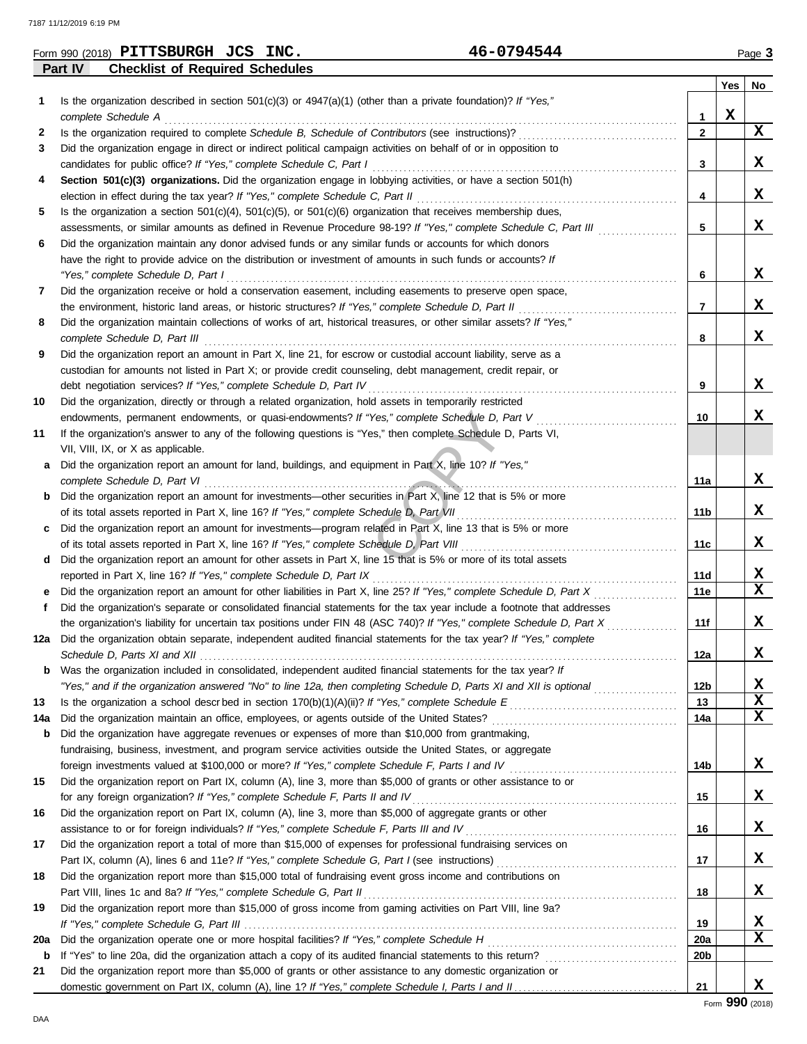| Form 990 (2018) | INC.<br>JCS<br><b>PITTSBURGH</b>       | 0794544<br>46–0' | Page |
|-----------------|----------------------------------------|------------------|------|
| Part IV         | <b>Checklist of Required Schedules</b> |                  |      |
|                 |                                        |                  |      |

|           |                                                                                                                                                                                                                             |                       | Yes         | No               |
|-----------|-----------------------------------------------------------------------------------------------------------------------------------------------------------------------------------------------------------------------------|-----------------------|-------------|------------------|
| 1         | Is the organization described in section $501(c)(3)$ or $4947(a)(1)$ (other than a private foundation)? If "Yes,"                                                                                                           |                       |             |                  |
|           | complete Schedule A                                                                                                                                                                                                         | 1                     | $\mathbf x$ |                  |
| 2         |                                                                                                                                                                                                                             | $\mathbf{2}$          |             | X                |
| 3         | Did the organization engage in direct or indirect political campaign activities on behalf of or in opposition to                                                                                                            |                       |             |                  |
|           | candidates for public office? If "Yes," complete Schedule C, Part I                                                                                                                                                         | 3                     |             | X                |
| 4         | Section 501(c)(3) organizations. Did the organization engage in lobbying activities, or have a section 501(h)                                                                                                               |                       |             |                  |
|           |                                                                                                                                                                                                                             | 4                     |             | x                |
| 5         | Is the organization a section $501(c)(4)$ , $501(c)(5)$ , or $501(c)(6)$ organization that receives membership dues,                                                                                                        |                       |             |                  |
|           | assessments, or similar amounts as defined in Revenue Procedure 98-19? If "Yes," complete Schedule C, Part III                                                                                                              | 5                     |             | X                |
| 6         | Did the organization maintain any donor advised funds or any similar funds or accounts for which donors                                                                                                                     |                       |             |                  |
|           | have the right to provide advice on the distribution or investment of amounts in such funds or accounts? If                                                                                                                 |                       |             | X                |
|           | "Yes," complete Schedule D, Part I                                                                                                                                                                                          | 6                     |             |                  |
| 7         | Did the organization receive or hold a conservation easement, including easements to preserve open space,                                                                                                                   | 7                     |             | x                |
| 8         | the environment, historic land areas, or historic structures? If "Yes," complete Schedule D, Part II<br>Did the organization maintain collections of works of art, historical treasures, or other similar assets? If "Yes," |                       |             |                  |
|           | complete Schedule D, Part III                                                                                                                                                                                               | 8                     |             | X                |
| 9         | Did the organization report an amount in Part X, line 21, for escrow or custodial account liability, serve as a                                                                                                             |                       |             |                  |
|           | custodian for amounts not listed in Part X; or provide credit counseling, debt management, credit repair, or                                                                                                                |                       |             |                  |
|           | debt negotiation services? If "Yes," complete Schedule D, Part IV                                                                                                                                                           | 9                     |             | X                |
| 10        | Did the organization, directly or through a related organization, hold assets in temporarily restricted                                                                                                                     |                       |             |                  |
|           | endowments, permanent endowments, or quasi-endowments? If "Yes," complete Schedule D, Part V                                                                                                                                | 10                    |             | x                |
| 11        | If the organization's answer to any of the following questions is "Yes," then complete Schedule D, Parts VI,                                                                                                                |                       |             |                  |
|           | VII, VIII, IX, or X as applicable.                                                                                                                                                                                          |                       |             |                  |
|           | a Did the organization report an amount for land, buildings, and equipment in Part X, line 10? If "Yes,"                                                                                                                    |                       |             |                  |
|           | complete Schedule D, Part VI                                                                                                                                                                                                | 11a                   |             | x                |
|           | <b>b</b> Did the organization report an amount for investments—other securities in Part X, line 12 that is 5% or more                                                                                                       |                       |             |                  |
|           | of its total assets reported in Part X, line 16? If "Yes," complete Schedule D, Part VII                                                                                                                                    | 11b                   |             | x                |
|           | c Did the organization report an amount for investments—program related in Part X, line 13 that is 5% or more                                                                                                               |                       |             |                  |
|           |                                                                                                                                                                                                                             | 11c                   |             | X                |
|           | d Did the organization report an amount for other assets in Part X, line 15 that is 5% or more of its total assets                                                                                                          |                       |             |                  |
|           | reported in Part X, line 16? If "Yes," complete Schedule D, Part IX                                                                                                                                                         | 11d                   |             | х                |
|           | e Did the organization report an amount for other liabilities in Part X, line 25? If "Yes," complete Schedule D, Part X                                                                                                     | 11e                   |             | $\mathbf x$      |
| f         | Did the organization's separate or consolidated financial statements for the tax year include a footnote that addresses                                                                                                     |                       |             |                  |
|           | the organization's liability for uncertain tax positions under FIN 48 (ASC 740)? If "Yes," complete Schedule D, Part X                                                                                                      | 11f                   |             | x                |
| 12a       | Did the organization obtain separate, independent audited financial statements for the tax year? If "Yes," complete                                                                                                         |                       |             |                  |
|           |                                                                                                                                                                                                                             | 12a                   |             | X                |
| b         | Was the organization included in consolidated, independent audited financial statements for the tax year? If                                                                                                                |                       |             |                  |
|           | "Yes," and if the organization answered "No" to line 12a, then completing Schedule D, Parts XI and XII is optional                                                                                                          | 12 <sub>b</sub><br>13 |             | X<br>$\mathbf x$ |
| 13<br>14a |                                                                                                                                                                                                                             | 14a                   |             | $\mathbf x$      |
| b         | Did the organization have aggregate revenues or expenses of more than \$10,000 from grantmaking,                                                                                                                            |                       |             |                  |
|           | fundraising, business, investment, and program service activities outside the United States, or aggregate                                                                                                                   |                       |             |                  |
|           |                                                                                                                                                                                                                             | 14b                   |             | X                |
| 15        | Did the organization report on Part IX, column (A), line 3, more than \$5,000 of grants or other assistance to or                                                                                                           |                       |             |                  |
|           | for any foreign organization? If "Yes," complete Schedule F, Parts II and IV                                                                                                                                                | 15                    |             | X                |
| 16        | Did the organization report on Part IX, column (A), line 3, more than \$5,000 of aggregate grants or other                                                                                                                  |                       |             |                  |
|           |                                                                                                                                                                                                                             | 16                    |             | X                |
| 17        | Did the organization report a total of more than \$15,000 of expenses for professional fundraising services on                                                                                                              |                       |             |                  |
|           |                                                                                                                                                                                                                             | 17                    |             | X                |
| 18        | Did the organization report more than \$15,000 total of fundraising event gross income and contributions on                                                                                                                 |                       |             |                  |
|           | Part VIII, lines 1c and 8a? If "Yes," complete Schedule G, Part II                                                                                                                                                          | 18                    |             | X                |
| 19        | Did the organization report more than \$15,000 of gross income from gaming activities on Part VIII, line 9a?                                                                                                                |                       |             |                  |
|           |                                                                                                                                                                                                                             | 19                    |             | X                |
| 20a       |                                                                                                                                                                                                                             | <b>20a</b>            |             | X                |
| b         |                                                                                                                                                                                                                             | 20 <sub>b</sub>       |             |                  |
| 21        | Did the organization report more than \$5,000 of grants or other assistance to any domestic organization or                                                                                                                 |                       |             |                  |
|           |                                                                                                                                                                                                                             | 21                    |             | X                |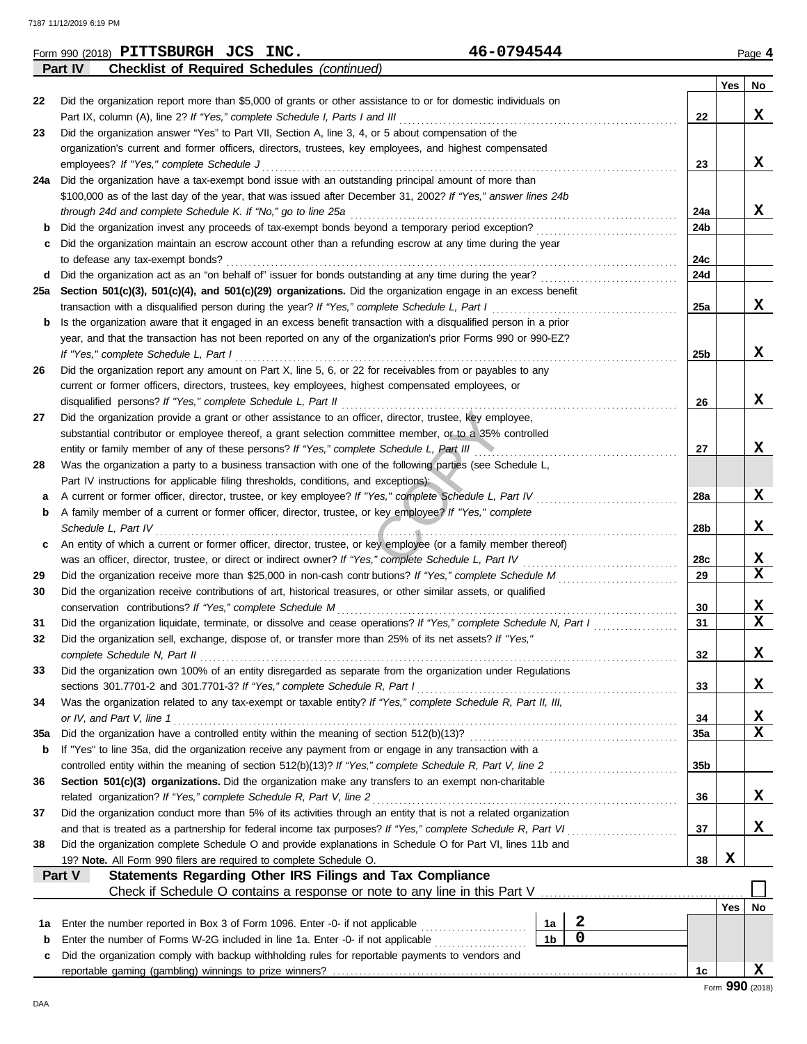|     | 46-0794544<br>Form 990 (2018) PITTSBURGH JCS INC.                                                                                                                                            |                 |     | Page 4      |
|-----|----------------------------------------------------------------------------------------------------------------------------------------------------------------------------------------------|-----------------|-----|-------------|
|     | Part IV<br><b>Checklist of Required Schedules (continued)</b>                                                                                                                                |                 |     |             |
|     |                                                                                                                                                                                              |                 | Yes | No          |
| 22  | Did the organization report more than \$5,000 of grants or other assistance to or for domestic individuals on<br>Part IX, column (A), line 2? If "Yes," complete Schedule I, Parts I and III | 22              |     | X           |
| 23  | Did the organization answer "Yes" to Part VII, Section A, line 3, 4, or 5 about compensation of the                                                                                          |                 |     |             |
|     | organization's current and former officers, directors, trustees, key employees, and highest compensated                                                                                      |                 |     |             |
|     | employees? If "Yes," complete Schedule J                                                                                                                                                     | 23              |     | X           |
|     | 24a Did the organization have a tax-exempt bond issue with an outstanding principal amount of more than                                                                                      |                 |     |             |
|     | \$100,000 as of the last day of the year, that was issued after December 31, 2002? If "Yes," answer lines 24b                                                                                |                 |     |             |
|     | through 24d and complete Schedule K. If "No," go to line 25a                                                                                                                                 | 24a             |     | X           |
| b   | Did the organization invest any proceeds of tax-exempt bonds beyond a temporary period exception?                                                                                            | 24b             |     |             |
| c   | Did the organization maintain an escrow account other than a refunding escrow at any time during the year                                                                                    |                 |     |             |
|     | to defease any tax-exempt bonds?                                                                                                                                                             | 24c             |     |             |
|     | d Did the organization act as an "on behalf of" issuer for bonds outstanding at any time during the year?                                                                                    | 24d             |     |             |
|     | 25a Section 501(c)(3), 501(c)(4), and 501(c)(29) organizations. Did the organization engage in an excess benefit                                                                             |                 |     |             |
|     | transaction with a disqualified person during the year? If "Yes," complete Schedule L, Part I                                                                                                | 25a             |     | X           |
| b   | Is the organization aware that it engaged in an excess benefit transaction with a disqualified person in a prior                                                                             |                 |     |             |
|     | year, and that the transaction has not been reported on any of the organization's prior Forms 990 or 990-EZ?                                                                                 |                 |     |             |
|     | If "Yes," complete Schedule L, Part I                                                                                                                                                        | 25b             |     | X           |
| 26  | Did the organization report any amount on Part X, line 5, 6, or 22 for receivables from or payables to any                                                                                   |                 |     |             |
|     | current or former officers, directors, trustees, key employees, highest compensated employees, or                                                                                            |                 |     |             |
|     | disqualified persons? If "Yes," complete Schedule L, Part II                                                                                                                                 | 26              |     | X           |
| 27  | Did the organization provide a grant or other assistance to an officer, director, trustee, key employee,                                                                                     |                 |     |             |
|     | substantial contributor or employee thereof, a grant selection committee member, or to a 35% controlled                                                                                      |                 |     |             |
|     | entity or family member of any of these persons? If "Yes," complete Schedule L, Part III                                                                                                     | 27              |     | X           |
| 28  | Was the organization a party to a business transaction with one of the following parties (see Schedule L,                                                                                    |                 |     |             |
|     | Part IV instructions for applicable filing thresholds, conditions, and exceptions):                                                                                                          |                 |     |             |
| а   | A current or former officer, director, trustee, or key employee? If "Yes," complete Schedule L, Part IV                                                                                      | 28a             |     | X           |
| b   | A family member of a current or former officer, director, trustee, or key employee? If "Yes," complete                                                                                       |                 |     |             |
|     | Schedule L, Part IV                                                                                                                                                                          | 28b             |     | X           |
| c   | An entity of which a current or former officer, director, trustee, or key employee (or a family member thereof)                                                                              |                 |     |             |
|     | was an officer, director, trustee, or direct or indirect owner? If "Yes," complete Schedule L, Part IV                                                                                       | 28c             |     | X           |
| 29  | Did the organization receive more than \$25,000 in non-cash contributions? If "Yes," complete Schedule M                                                                                     | 29              |     | $\mathbf x$ |
| 30  | Did the organization receive contributions of art, historical treasures, or other similar assets, or qualified                                                                               |                 |     |             |
|     | conservation contributions? If "Yes," complete Schedule M                                                                                                                                    | 30              |     | X           |
| 31  | Did the organization liquidate, terminate, or dissolve and cease operations? If "Yes," complete Schedule N, Part I                                                                           | 31              |     | $\mathbf x$ |
|     | Did the organization sell, exchange, dispose of, or transfer more than 25% of its net assets? If "Yes,"                                                                                      |                 |     |             |
|     | complete Schedule N, Part II                                                                                                                                                                 | 32              |     | X           |
| 33  | Did the organization own 100% of an entity disregarded as separate from the organization under Regulations                                                                                   |                 |     |             |
|     | sections 301.7701-2 and 301.7701-3? If "Yes," complete Schedule R, Part I                                                                                                                    | 33              |     | X           |
| 34  | Was the organization related to any tax-exempt or taxable entity? If "Yes," complete Schedule R, Part II, III,                                                                               |                 |     |             |
|     | or IV, and Part V, line 1                                                                                                                                                                    | 34              |     | X           |
| 35a | Did the organization have a controlled entity within the meaning of section 512(b)(13)?                                                                                                      | 35a             |     | X           |
| b   | If "Yes" to line 35a, did the organization receive any payment from or engage in any transaction with a                                                                                      |                 |     |             |
|     | controlled entity within the meaning of section 512(b)(13)? If "Yes," complete Schedule R, Part V, line 2                                                                                    | 35 <sub>b</sub> |     |             |
| 36  | Section 501(c)(3) organizations. Did the organization make any transfers to an exempt non-charitable                                                                                         |                 |     |             |
|     | related organization? If "Yes," complete Schedule R, Part V, line 2                                                                                                                          | 36              |     | X           |
| 37  | Did the organization conduct more than 5% of its activities through an entity that is not a related organization                                                                             |                 |     |             |
|     | and that is treated as a partnership for federal income tax purposes? If "Yes," complete Schedule R, Part VI                                                                                 | 37              |     | X           |
| 38  | Did the organization complete Schedule O and provide explanations in Schedule O for Part VI, lines 11b and                                                                                   |                 |     |             |
|     | 19? Note. All Form 990 filers are required to complete Schedule O.                                                                                                                           | 38              | X   |             |
|     | Statements Regarding Other IRS Filings and Tax Compliance<br>Part V                                                                                                                          |                 |     |             |
|     | Check if Schedule O contains a response or note to any line in this Part V                                                                                                                   |                 | Yes | No          |
| 1а  | $\boldsymbol{2}$<br>Enter the number reported in Box 3 of Form 1096. Enter -0- if not applicable<br>1a                                                                                       |                 |     |             |
| b   | $\mathbf 0$<br>1 <sub>b</sub><br>Enter the number of Forms W-2G included in line 1a. Enter -0- if not applicable                                                                             |                 |     |             |
| c   | Did the organization comply with backup withholding rules for reportable payments to vendors and                                                                                             |                 |     |             |
|     |                                                                                                                                                                                              | 1с              |     | X           |
|     |                                                                                                                                                                                              |                 |     |             |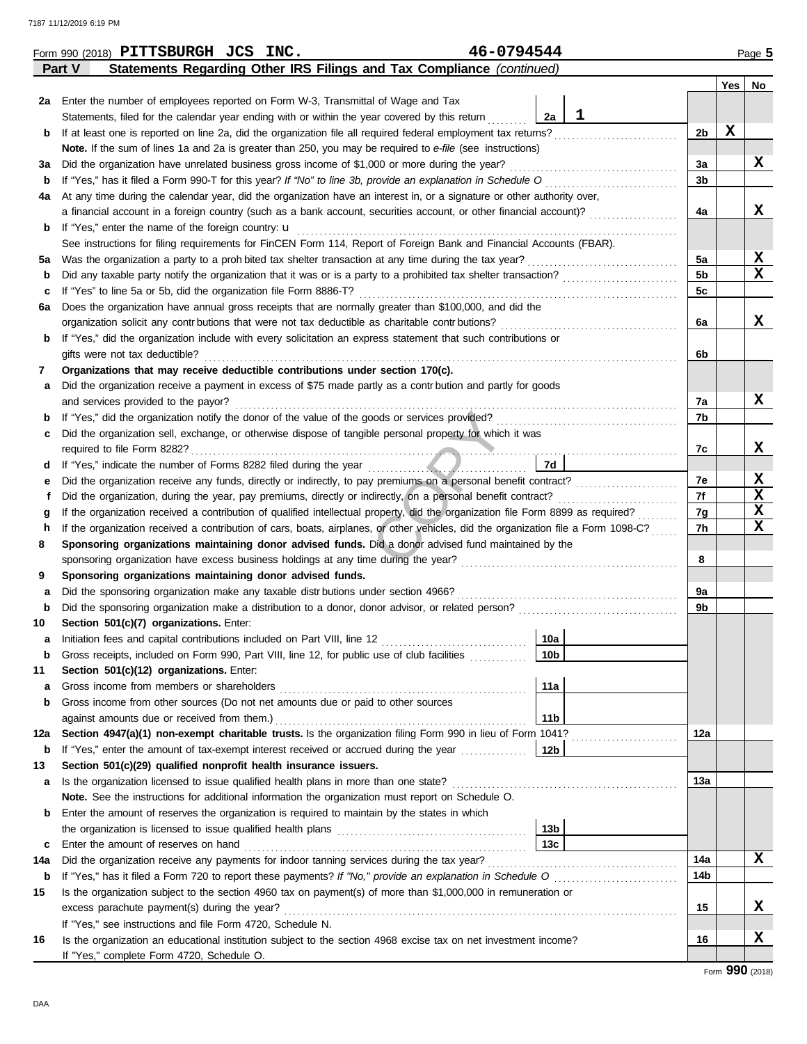|     | 46-0794544<br>Form 990 (2018) $PITTSBURGH$ $JCS$ $INC.$                                                                                                                                            |                 |   |                |   | Page 5 |
|-----|----------------------------------------------------------------------------------------------------------------------------------------------------------------------------------------------------|-----------------|---|----------------|---|--------|
|     | Statements Regarding Other IRS Filings and Tax Compliance (continued)<br>Part V                                                                                                                    |                 |   |                |   |        |
|     |                                                                                                                                                                                                    |                 |   |                |   | Yes No |
|     | 2a Enter the number of employees reported on Form W-3, Transmittal of Wage and Tax                                                                                                                 |                 |   |                |   |        |
|     | Statements, filed for the calendar year ending with or within the year covered by this return                                                                                                      | 2a              | 1 |                |   |        |
| b   | If at least one is reported on line 2a, did the organization file all required federal employment tax returns?                                                                                     |                 |   | 2b             | X |        |
|     | Note. If the sum of lines 1a and 2a is greater than 250, you may be required to e-file (see instructions)                                                                                          |                 |   |                |   |        |
| За  | Did the organization have unrelated business gross income of \$1,000 or more during the year?                                                                                                      |                 |   | За             |   | X      |
| b   | If "Yes," has it filed a Form 990-T for this year? If "No" to line 3b, provide an explanation in Schedule O                                                                                        |                 |   | 3b             |   |        |
| 4a  | At any time during the calendar year, did the organization have an interest in, or a signature or other authority over,                                                                            |                 |   |                |   |        |
|     | a financial account in a foreign country (such as a bank account, securities account, or other financial account)?                                                                                 |                 |   | 4a             |   | x      |
| b   | If "Yes," enter the name of the foreign country: u                                                                                                                                                 |                 |   |                |   |        |
|     | See instructions for filing requirements for FinCEN Form 114, Report of Foreign Bank and Financial Accounts (FBAR).                                                                                |                 |   |                |   |        |
| 5a  | Was the organization a party to a proh bited tax shelter transaction at any time during the tax year?                                                                                              |                 |   | 5a             |   | X      |
| b   | Did any taxable party notify the organization that it was or is a party to a prohibited tax shelter transaction?                                                                                   |                 |   | 5 <sub>b</sub> |   | x      |
| с   | If "Yes" to line 5a or 5b, did the organization file Form 8886-T?                                                                                                                                  |                 |   | 5c             |   |        |
| 6а  | Does the organization have annual gross receipts that are normally greater than \$100,000, and did the                                                                                             |                 |   |                |   |        |
|     | organization solicit any contr butions that were not tax deductible as charitable contr butions?                                                                                                   |                 |   | 6a             |   | x      |
| b   | If "Yes," did the organization include with every solicitation an express statement that such contributions or                                                                                     |                 |   |                |   |        |
|     | gifts were not tax deductible?                                                                                                                                                                     |                 |   | 6b             |   |        |
| 7   | Organizations that may receive deductible contributions under section 170(c).                                                                                                                      |                 |   |                |   |        |
| а   | Did the organization receive a payment in excess of \$75 made partly as a contr bution and partly for goods                                                                                        |                 |   |                |   |        |
|     | and services provided to the payor?                                                                                                                                                                |                 |   | 7a             |   | X      |
| b   | If "Yes," did the organization notify the donor of the value of the goods or services provided?<br>If "Yes," did the organization notify the donor of the value of the goods or services provided? |                 |   | 7b             |   |        |
| c   | Did the organization sell, exchange, or otherwise dispose of tangible personal property for which it was                                                                                           |                 |   |                |   |        |
|     |                                                                                                                                                                                                    |                 |   | 7c             |   | X      |
| d   | If "Yes," indicate the number of Forms 8282 filed during the year                                                                                                                                  | 7d              |   |                |   |        |
| е   | Did the organization receive any funds, directly or indirectly, to pay premiums on a personal benefit contract?                                                                                    |                 |   | 7e             |   | X<br>X |
| f   | Did the organization, during the year, pay premiums, directly or indirectly, on a personal benefit contract?                                                                                       |                 |   | 7f             |   | X      |
| g   | If the organization received a contribution of qualified intellectual property, did the organization file Form 8899 as required?                                                                   |                 |   | 7g             |   | x      |
| h   | If the organization received a contribution of cars, boats, airplanes, or other vehicles, did the organization file a Form 1098-C?                                                                 |                 |   | 7h             |   |        |
| 8   | Sponsoring organizations maintaining donor advised funds. Did a donor advised fund maintained by the                                                                                               |                 |   | 8              |   |        |
| 9   | Sponsoring organizations maintaining donor advised funds.                                                                                                                                          |                 |   |                |   |        |
| а   | Did the sponsoring organization make any taxable distrbutions under section 4966?                                                                                                                  |                 |   | 9a             |   |        |
| b   |                                                                                                                                                                                                    |                 |   | 9b             |   |        |
| 10  | Section 501(c)(7) organizations. Enter:                                                                                                                                                            |                 |   |                |   |        |
|     | Initiation fees and capital contributions included on Part VIII, line 12 [11] [11] [12] [11] [12] [11] [12] [1                                                                                     | 10a             |   |                |   |        |
| b   | Gross receipts, included on Form 990, Part VIII, line 12, for public use of club facilities                                                                                                        | 10 <sub>b</sub> |   |                |   |        |
| 11  | Section 501(c)(12) organizations. Enter:                                                                                                                                                           |                 |   |                |   |        |
| а   | Gross income from members or shareholders                                                                                                                                                          | 11a             |   |                |   |        |
| b   | Gross income from other sources (Do not net amounts due or paid to other sources                                                                                                                   |                 |   |                |   |        |
|     | against amounts due or received from them.)                                                                                                                                                        | 11 <sub>b</sub> |   |                |   |        |
| 12a | Section 4947(a)(1) non-exempt charitable trusts. Is the organization filing Form 990 in lieu of Form 1041?                                                                                         |                 |   | 12a            |   |        |
| b   | If "Yes," enter the amount of tax-exempt interest received or accrued during the year                                                                                                              | 12b             |   |                |   |        |
| 13  | Section 501(c)(29) qualified nonprofit health insurance issuers.                                                                                                                                   |                 |   |                |   |        |
| a   | Is the organization licensed to issue qualified health plans in more than one state?                                                                                                               |                 |   | 13а            |   |        |
|     | Note. See the instructions for additional information the organization must report on Schedule O.                                                                                                  |                 |   |                |   |        |
| b   | Enter the amount of reserves the organization is required to maintain by the states in which                                                                                                       |                 |   |                |   |        |
|     |                                                                                                                                                                                                    | 13b             |   |                |   |        |
| c   | Enter the amount of reserves on hand                                                                                                                                                               | 13 <sub>c</sub> |   |                |   |        |
| 14a | Did the organization receive any payments for indoor tanning services during the tax year?                                                                                                         |                 |   | 14a            |   | x      |
| b   |                                                                                                                                                                                                    |                 |   | 14b            |   |        |
| 15  | Is the organization subject to the section 4960 tax on payment(s) of more than \$1,000,000 in remuneration or                                                                                      |                 |   |                |   |        |
|     | excess parachute payment(s) during the year?                                                                                                                                                       |                 |   | 15             |   | X      |
|     | If "Yes," see instructions and file Form 4720, Schedule N.                                                                                                                                         |                 |   |                |   |        |
| 16  | Is the organization an educational institution subject to the section 4968 excise tax on net investment income?                                                                                    |                 |   | 16             |   | X      |
|     | If "Yes," complete Form 4720, Schedule O.                                                                                                                                                          |                 |   |                |   |        |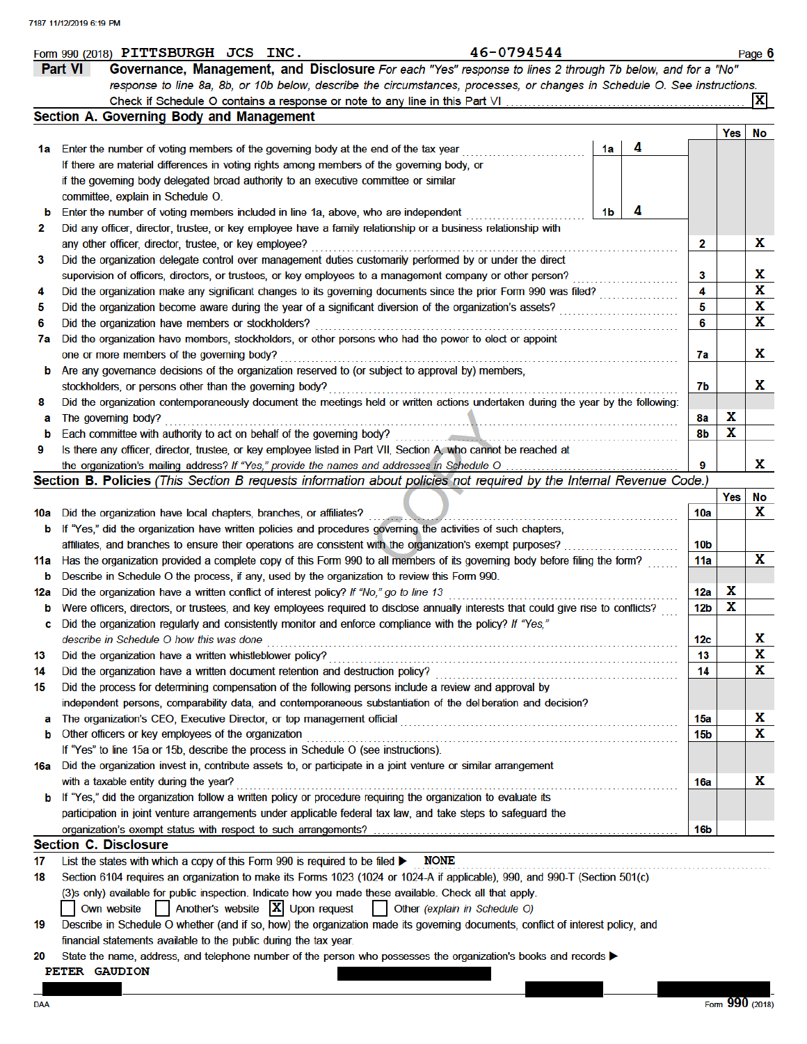|          | 46-0794544<br>Form 990 (2018) PITTSBURGH JCS INC.                                                                                                                                                                              |    |   |                 |     | Page 6 |
|----------|--------------------------------------------------------------------------------------------------------------------------------------------------------------------------------------------------------------------------------|----|---|-----------------|-----|--------|
|          | <b>Part VI</b><br>Governance, Management, and Disclosure For each "Yes" response to lines 2 through 7b below, and for a "No"                                                                                                   |    |   |                 |     |        |
|          | response to line 8a, 8b, or 10b below, describe the circumstances, processes, or changes in Schedule O. See instructions.                                                                                                      |    |   |                 |     |        |
|          |                                                                                                                                                                                                                                |    |   |                 |     | x      |
|          | Section A. Governing Body and Management                                                                                                                                                                                       |    |   |                 |     |        |
|          |                                                                                                                                                                                                                                |    |   |                 | Yes | No     |
| 1a       | Enter the number of voting members of the governing body at the end of the tax year                                                                                                                                            | 1a | 4 |                 |     |        |
|          | If there are material differences in voting rights among members of the governing body, or                                                                                                                                     |    |   |                 |     |        |
|          | if the governing body delegated broad authority to an executive committee or similar                                                                                                                                           |    |   |                 |     |        |
|          | committee, explain in Schedule O.                                                                                                                                                                                              |    |   |                 |     |        |
| b        | Enter the number of voting members included in line 1a, above, who are independent                                                                                                                                             | 1b | 4 |                 |     |        |
| 2        | Did any officer, director, trustee, or key employee have a family relationship or a business relationship with                                                                                                                 |    |   |                 |     |        |
|          | any other officer, director, trustee, or key employee?                                                                                                                                                                         |    |   | 2               |     | x      |
| 3        | Did the organization delegate control over management duties customarily performed by or under the direct                                                                                                                      |    |   |                 |     |        |
|          | supervision of officers, directors, or trustees, or key employees to a management company or other person?                                                                                                                     |    |   | 3               |     | x      |
| 4        | Did the organization make any significant changes to its governing documents since the prior Form 990 was filed?                                                                                                               |    |   | 4               |     | x      |
| 5        | Did the organization become aware during the year of a significant diversion of the organization's assets?                                                                                                                     |    |   | 5               |     | х      |
| 6        | Did the organization have members or stockholders?                                                                                                                                                                             |    |   | 6               |     | x      |
| 7a       | Did the organization have members, stockholders, or other persons who had the power to elect or appoint                                                                                                                        |    |   |                 |     |        |
|          | one or more members of the governing body?                                                                                                                                                                                     |    |   | 7a              |     | x      |
| b        | Are any governance decisions of the organization reserved to (or subject to approval by) members,                                                                                                                              |    |   |                 |     |        |
|          | stockholders, or persons other than the governing body?                                                                                                                                                                        |    |   | 7b              |     | x      |
| 8        | Did the organization contemporaneously document the meetings held or written actions undertaken during the year by the following:                                                                                              |    |   |                 |     |        |
| a        | The governing body?                                                                                                                                                                                                            |    |   | 8a              | X   |        |
| b        | Each committee with authority to act on behalf of the governing body?                                                                                                                                                          |    |   | 8b              | x   |        |
| 9        | Is there any officer, director, trustee, or key employee listed in Part VII, Section A, who cannot be reached at                                                                                                               |    |   |                 |     |        |
|          | the organization's mailing address? If "Yes," provide the names and addresses in Schedule O                                                                                                                                    |    |   | 9               |     | x      |
|          | Section B. Policies (This Section B requests information about policies not required by the Internal Revenue Code.)                                                                                                            |    |   |                 |     |        |
|          |                                                                                                                                                                                                                                |    |   |                 | Yes | No     |
|          | 10a Did the organization have local chapters, branches, or affiliates?                                                                                                                                                         |    |   | 10a             |     | x      |
|          | b If "Yes," did the organization have written policies and procedures governing the activities of such chapters,                                                                                                               |    |   |                 |     |        |
|          | affiliates, and branches to ensure their operations are consistent with the organization's exempt purposes?                                                                                                                    |    |   | 10b             |     | х      |
|          | 11a Has the organization provided a complete copy of this Form 990 to all members of its governing body before filing the form?                                                                                                |    |   | 11a             |     |        |
| b        | Describe in Schedule O the process, if any, used by the organization to review this Form 990.                                                                                                                                  |    |   | 12a             | X   |        |
| 12a<br>b | Did the organization have a written conflict of interest policy? If "No," go to line 13<br>Were officers, directors, or trustees, and key employees required to disclose annually interests that could give rise to conflicts? |    |   | 12 <sub>b</sub> | X   |        |
|          | Did the organization regularly and consistently monitor and enforce compliance with the policy? If "Yes,"                                                                                                                      |    |   |                 |     |        |
| с        | describe in Schedule O how this was done                                                                                                                                                                                       |    |   |                 |     | x      |
| 13       | Did the organization have a written whistleblower policy?                                                                                                                                                                      |    |   | 12c<br>13       |     | x      |
| 14       | Did the organization have a written document retention and destruction policy?                                                                                                                                                 |    |   | 14              |     | х      |
| 15       | Did the process for determining compensation of the following persons include a review and approval by                                                                                                                         |    |   |                 |     |        |
|          | independent persons, comparability data, and contemporaneous substantiation of the del beration and decision?                                                                                                                  |    |   |                 |     |        |
| а        | The organization's CEO, Executive Director, or top management official                                                                                                                                                         |    |   | 15a             |     | x      |
| b        | Other officers or key employees of the organization                                                                                                                                                                            |    |   | 15b             |     | x      |
|          | If "Yes" to line 15a or 15b, describe the process in Schedule O (see instructions).                                                                                                                                            |    |   |                 |     |        |
| 16a      | Did the organization invest in, contribute assets to, or participate in a joint venture or similar arrangement                                                                                                                 |    |   |                 |     |        |
|          | with a taxable entity during the year?                                                                                                                                                                                         |    |   | 16a             |     | x      |
|          | <b>b</b> If "Yes," did the organization follow a written policy or procedure requiring the organization to evaluate its                                                                                                        |    |   |                 |     |        |
|          | participation in joint venture arrangements under applicable federal tax law, and take steps to safeguard the                                                                                                                  |    |   |                 |     |        |
|          |                                                                                                                                                                                                                                |    |   | 16b             |     |        |
|          | <b>Section C. Disclosure</b>                                                                                                                                                                                                   |    |   |                 |     |        |
| 17       | List the states with which a copy of this Form 990 is required to be filed $\triangleright$ NONE                                                                                                                               |    |   |                 |     |        |
| 18       | Section 6104 requires an organization to make its Forms 1023 (1024 or 1024-A if applicable), 990, and 990-T (Section 501(c)                                                                                                    |    |   |                 |     |        |
|          | (3) sonly) available for public inspection. Indicate how you made these available. Check all that apply.                                                                                                                       |    |   |                 |     |        |
|          | Another's website $ X $ Upon request<br>Other (explain in Schedule O)<br>Own website                                                                                                                                           |    |   |                 |     |        |
| 19       | Describe in Schedule O whether (and if so, how) the organization made its governing documents, conflict of interest policy, and                                                                                                |    |   |                 |     |        |
|          | financial statements available to the public during the tax year.                                                                                                                                                              |    |   |                 |     |        |
| 20       | State the name, address, and telephone number of the person who possesses the organization's books and records                                                                                                                 |    |   |                 |     |        |
|          | PETER GAUDION                                                                                                                                                                                                                  |    |   |                 |     |        |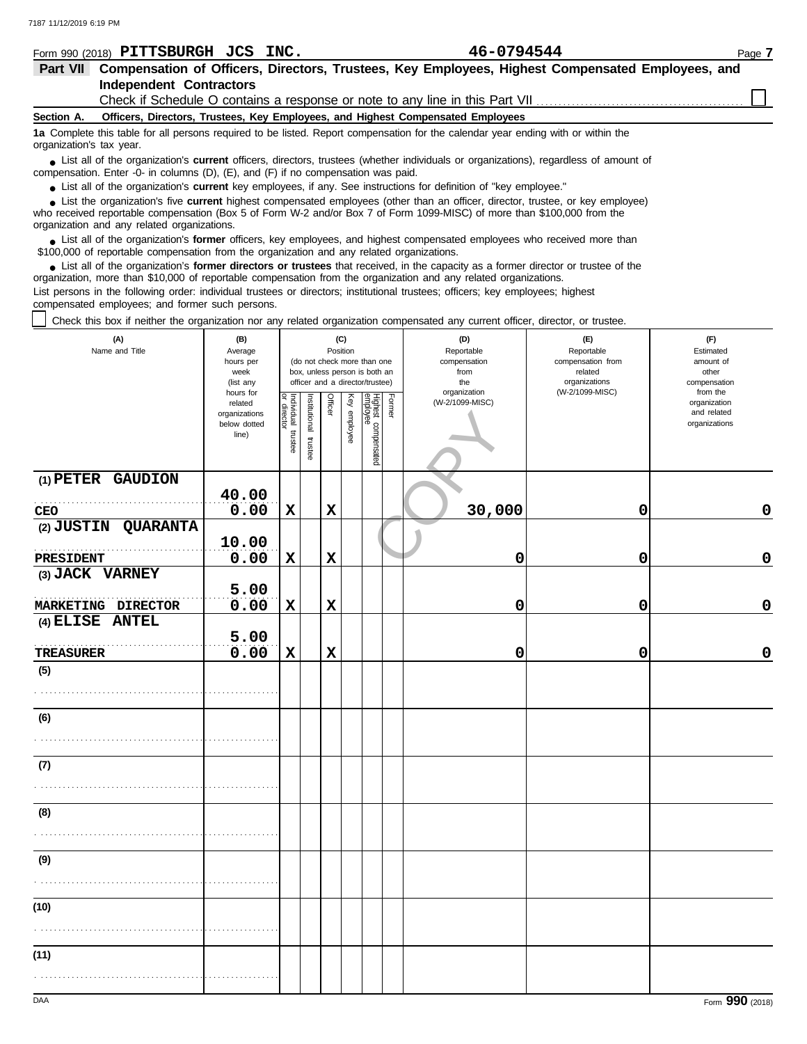|                          | Form 990 (2018) PITTSBURGH JCS INC.                                                       | 46-0794544                                                                                                                                                                                                                                                | Page 7 |
|--------------------------|-------------------------------------------------------------------------------------------|-----------------------------------------------------------------------------------------------------------------------------------------------------------------------------------------------------------------------------------------------------------|--------|
| Part VII                 |                                                                                           | Compensation of Officers, Directors, Trustees, Key Employees, Highest Compensated Employees, and                                                                                                                                                          |        |
|                          | <b>Independent Contractors</b>                                                            |                                                                                                                                                                                                                                                           |        |
|                          |                                                                                           |                                                                                                                                                                                                                                                           |        |
| Section A.               | Officers, Directors, Trustees, Key Employees, and Highest Compensated Employees           |                                                                                                                                                                                                                                                           |        |
| organization's tax year. |                                                                                           | 1a Complete this table for all persons required to be listed. Report compensation for the calendar year ending with or within the                                                                                                                         |        |
|                          | compensation. Enter -0- in columns $(D)$ , $(E)$ , and $(F)$ if no compensation was paid. | • List all of the organization's <b>current</b> officers, directors, trustees (whether individuals or organizations), regardless of amount of                                                                                                             |        |
|                          |                                                                                           | • List all of the organization's current key employees, if any. See instructions for definition of "key employee."                                                                                                                                        |        |
|                          | organization and any related organizations.                                               | List the organization's five current highest compensated employees (other than an officer, director, trustee, or key employee)<br>who received reportable compensation (Box 5 of Form W-2 and/or Box 7 of Form 1099-MISC) of more than \$100,000 from the |        |
|                          |                                                                                           |                                                                                                                                                                                                                                                           |        |

■ List all of the organization's **former** officers, key employees, and highest compensated employees who received more than<br> **•** 00,000 of reportable compensation from the ergonization and any related ergonizations \$100,000 of reportable compensation from the organization and any related organizations.

List all of the organization's **former directors or trustees** that received, in the capacity as a former director or trustee of the • List all of the organization's **former directors or trustees** that received, in the capacity as a former director organization, more than \$10,000 of reportable compensation from the organization and any related organizat List persons in the following order: individual trustees or directors; institutional trustees; officers; key employees; highest compensated employees; and former such persons.

Check this box if neither the organization nor any related organization compensated any current officer, director, or trustee.

| (A)<br>Name and Title                 | (B)<br>Average<br>hours per<br>week<br>(list any               |                                   |                       | Position       | (C)          | (do not check more than one<br>box, unless person is both an<br>officer and a director/trustee) |  | (D)<br>Reportable<br>compensation<br>from<br>the | (E)<br>Reportable<br>compensation from<br>related<br>organizations | (F)<br>Estimated<br>amount of<br>other<br>compensation   |
|---------------------------------------|----------------------------------------------------------------|-----------------------------------|-----------------------|----------------|--------------|-------------------------------------------------------------------------------------------------|--|--------------------------------------------------|--------------------------------------------------------------------|----------------------------------------------------------|
|                                       | hours for<br>related<br>organizations<br>below dotted<br>line) | Individual trustee<br>or director | Institutional trustee | <b>Officer</b> | Key employee | Former<br>Highest compensated<br>employee                                                       |  | organization<br>(W-2/1099-MISC)                  | (W-2/1099-MISC)                                                    | from the<br>organization<br>and related<br>organizations |
| (1) PETER GAUDION<br>CEO              | 40.00<br>0.00                                                  | $\mathbf x$                       |                       | $\mathbf x$    |              |                                                                                                 |  | 30,000                                           | 0                                                                  | $\pmb{0}$                                                |
| (2) JUSTIN QUARANTA                   | 10.00                                                          |                                   |                       |                |              |                                                                                                 |  |                                                  |                                                                    |                                                          |
| PRESIDENT<br>(3) JACK VARNEY          | 0.00<br>5.00                                                   | $\mathbf x$                       |                       | $\mathbf x$    |              |                                                                                                 |  | 0                                                | 0                                                                  | $\pmb{0}$                                                |
| MARKETING DIRECTOR<br>(4) ELISE ANTEL | 0.00<br>5.00                                                   | $\mathbf x$                       |                       | $\mathbf x$    |              |                                                                                                 |  | 0                                                | 0                                                                  | 0                                                        |
| <b>TREASURER</b><br>(5)               | 0.00                                                           | $\mathbf x$                       |                       | $\mathbf x$    |              |                                                                                                 |  | 0                                                | 0                                                                  | $\mathbf 0$                                              |
| (6)                                   |                                                                |                                   |                       |                |              |                                                                                                 |  |                                                  |                                                                    |                                                          |
|                                       |                                                                |                                   |                       |                |              |                                                                                                 |  |                                                  |                                                                    |                                                          |
| (7)                                   |                                                                |                                   |                       |                |              |                                                                                                 |  |                                                  |                                                                    |                                                          |
| (8)                                   |                                                                |                                   |                       |                |              |                                                                                                 |  |                                                  |                                                                    |                                                          |
| (9)                                   |                                                                |                                   |                       |                |              |                                                                                                 |  |                                                  |                                                                    |                                                          |
| (10)                                  |                                                                |                                   |                       |                |              |                                                                                                 |  |                                                  |                                                                    |                                                          |
| (11)                                  |                                                                |                                   |                       |                |              |                                                                                                 |  |                                                  |                                                                    |                                                          |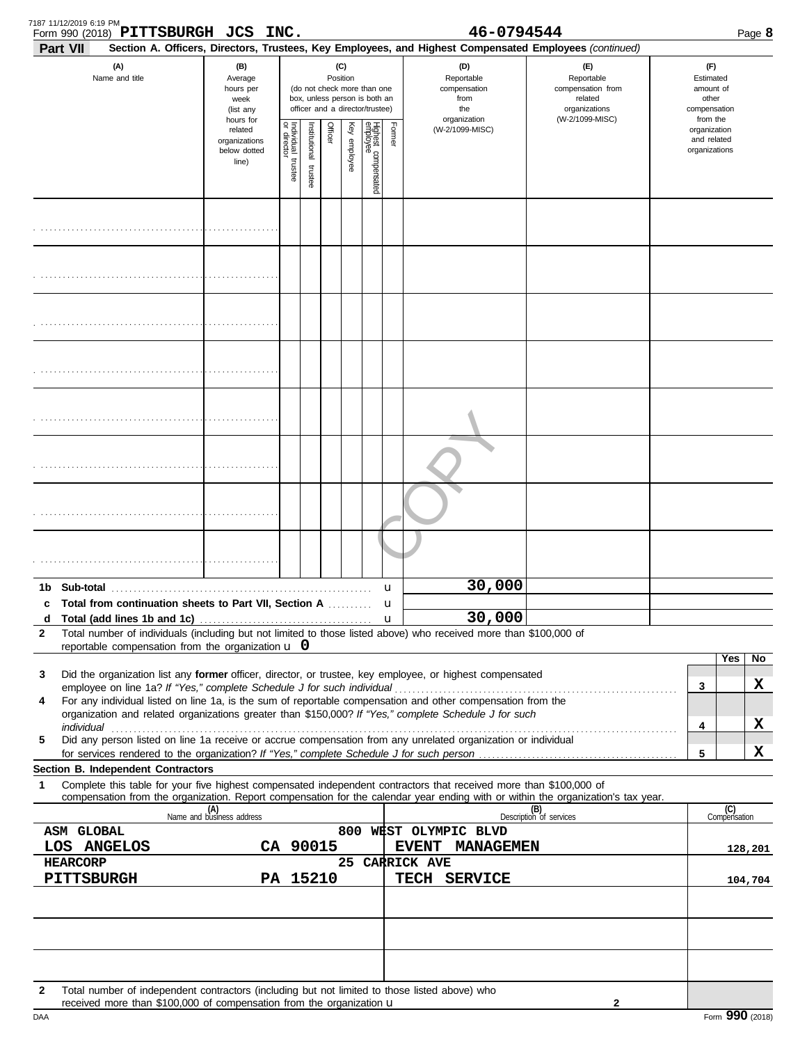| Part VII              | Form 990 (2018) PITTSBURGH JCS INC.                                                                                                                                   |                                                                |                                   |                       |          |              |                                                                                                 |              | 46-0794544<br>Section A. Officers, Directors, Trustees, Key Employees, and Highest Compensated Employees (continued) |                                                                                                                                  |                                                                    |                     | Page 8  |
|-----------------------|-----------------------------------------------------------------------------------------------------------------------------------------------------------------------|----------------------------------------------------------------|-----------------------------------|-----------------------|----------|--------------|-------------------------------------------------------------------------------------------------|--------------|----------------------------------------------------------------------------------------------------------------------|----------------------------------------------------------------------------------------------------------------------------------|--------------------------------------------------------------------|---------------------|---------|
| (A)<br>Name and title |                                                                                                                                                                       | (B)<br>Average<br>hours per<br>week<br>(list any               |                                   |                       | Position | (C)          | (do not check more than one<br>box, unless person is both an<br>officer and a director/trustee) |              | (D)<br>Reportable<br>compensation<br>from<br>the                                                                     | (E)<br>Reportable<br>compensation from<br>related<br>organizations<br>(W-2/1099-MISC)                                            | (F)<br>Estimated<br>amount of<br>other<br>compensation<br>from the |                     |         |
|                       |                                                                                                                                                                       | hours for<br>related<br>organizations<br>below dotted<br>line) | Individual trustee<br>or director | Institutional trustee | Officer  | Key employee | Highest compensated<br>employee                                                                 | Former       | organization<br>(W-2/1099-MISC)                                                                                      |                                                                                                                                  | organization<br>and related<br>organizations                       |                     |         |
|                       |                                                                                                                                                                       |                                                                |                                   |                       |          |              |                                                                                                 |              |                                                                                                                      |                                                                                                                                  |                                                                    |                     |         |
|                       |                                                                                                                                                                       |                                                                |                                   |                       |          |              |                                                                                                 |              |                                                                                                                      |                                                                                                                                  |                                                                    |                     |         |
|                       |                                                                                                                                                                       |                                                                |                                   |                       |          |              |                                                                                                 |              |                                                                                                                      |                                                                                                                                  |                                                                    |                     |         |
|                       |                                                                                                                                                                       |                                                                |                                   |                       |          |              |                                                                                                 |              |                                                                                                                      |                                                                                                                                  |                                                                    |                     |         |
|                       |                                                                                                                                                                       |                                                                |                                   |                       |          |              |                                                                                                 |              |                                                                                                                      |                                                                                                                                  |                                                                    |                     |         |
|                       |                                                                                                                                                                       |                                                                |                                   |                       |          |              |                                                                                                 |              |                                                                                                                      |                                                                                                                                  |                                                                    |                     |         |
|                       |                                                                                                                                                                       |                                                                |                                   |                       |          |              |                                                                                                 |              |                                                                                                                      |                                                                                                                                  |                                                                    |                     |         |
|                       |                                                                                                                                                                       |                                                                |                                   |                       |          |              |                                                                                                 |              |                                                                                                                      |                                                                                                                                  |                                                                    |                     |         |
| 1b Sub-total          |                                                                                                                                                                       |                                                                |                                   |                       |          |              |                                                                                                 | u            | 30,000                                                                                                               |                                                                                                                                  |                                                                    |                     |         |
|                       | Total from continuation sheets to Part VII, Section A                                                                                                                 |                                                                |                                   |                       |          |              |                                                                                                 | u            | 30,000                                                                                                               |                                                                                                                                  |                                                                    |                     |         |
| d<br>2                |                                                                                                                                                                       |                                                                |                                   |                       |          |              |                                                                                                 | $\mathbf{u}$ | Total number of individuals (including but not limited to those listed above) who received more than \$100,000 of    |                                                                                                                                  |                                                                    |                     |         |
|                       | reportable compensation from the organization $\bf{u}$ 0                                                                                                              |                                                                |                                   |                       |          |              |                                                                                                 |              |                                                                                                                      |                                                                                                                                  |                                                                    | Yes                 | No      |
| 3                     |                                                                                                                                                                       |                                                                |                                   |                       |          |              |                                                                                                 |              | Did the organization list any former officer, director, or trustee, key employee, or highest compensated             |                                                                                                                                  |                                                                    |                     |         |
| 4                     |                                                                                                                                                                       |                                                                |                                   |                       |          |              |                                                                                                 |              | For any individual listed on line 1a, is the sum of reportable compensation and other compensation from the          |                                                                                                                                  | 3                                                                  |                     | X       |
|                       |                                                                                                                                                                       |                                                                |                                   |                       |          |              |                                                                                                 |              | organization and related organizations greater than \$150,000? If "Yes," complete Schedule J for such                |                                                                                                                                  |                                                                    |                     |         |
| 5                     | individual                                                                                                                                                            |                                                                |                                   |                       |          |              |                                                                                                 |              | Did any person listed on line 1a receive or accrue compensation from any unrelated organization or individual        |                                                                                                                                  | 4                                                                  |                     | x       |
|                       |                                                                                                                                                                       |                                                                |                                   |                       |          |              |                                                                                                 |              |                                                                                                                      |                                                                                                                                  | 5                                                                  |                     | X       |
|                       | Section B. Independent Contractors                                                                                                                                    |                                                                |                                   |                       |          |              |                                                                                                 |              |                                                                                                                      |                                                                                                                                  |                                                                    |                     |         |
| 1                     |                                                                                                                                                                       |                                                                |                                   |                       |          |              |                                                                                                 |              | Complete this table for your five highest compensated independent contractors that received more than \$100,000 of   | compensation from the organization. Report compensation for the calendar year ending with or within the organization's tax year. |                                                                    |                     |         |
|                       |                                                                                                                                                                       | (A)<br>Name and business address                               |                                   |                       |          |              |                                                                                                 |              |                                                                                                                      | (B)<br>Description of services                                                                                                   |                                                                    | (C)<br>Compensation |         |
| ASM GLOBAL            |                                                                                                                                                                       |                                                                |                                   |                       |          |              |                                                                                                 |              | 800 WEST OLYMPIC BLVD                                                                                                |                                                                                                                                  |                                                                    |                     |         |
| <b>HEARCORP</b>       | LOS ANGELOS                                                                                                                                                           |                                                                | CA 90015                          |                       |          |              |                                                                                                 |              | <b>EVENT</b><br><b>MANAGEMEN</b><br>25 CARRICK AVE                                                                   |                                                                                                                                  |                                                                    |                     | 128,201 |
| <b>PITTSBURGH</b>     |                                                                                                                                                                       |                                                                | PA 15210                          |                       |          |              |                                                                                                 |              | TECH SERVICE                                                                                                         |                                                                                                                                  |                                                                    |                     | 104,704 |
|                       |                                                                                                                                                                       |                                                                |                                   |                       |          |              |                                                                                                 |              |                                                                                                                      |                                                                                                                                  |                                                                    |                     |         |
|                       |                                                                                                                                                                       |                                                                |                                   |                       |          |              |                                                                                                 |              |                                                                                                                      |                                                                                                                                  |                                                                    |                     |         |
|                       |                                                                                                                                                                       |                                                                |                                   |                       |          |              |                                                                                                 |              |                                                                                                                      |                                                                                                                                  |                                                                    |                     |         |
| 2                     | Total number of independent contractors (including but not limited to those listed above) who<br>received more than \$100,000 of compensation from the organization u |                                                                |                                   |                       |          |              |                                                                                                 |              |                                                                                                                      | 2                                                                                                                                |                                                                    |                     |         |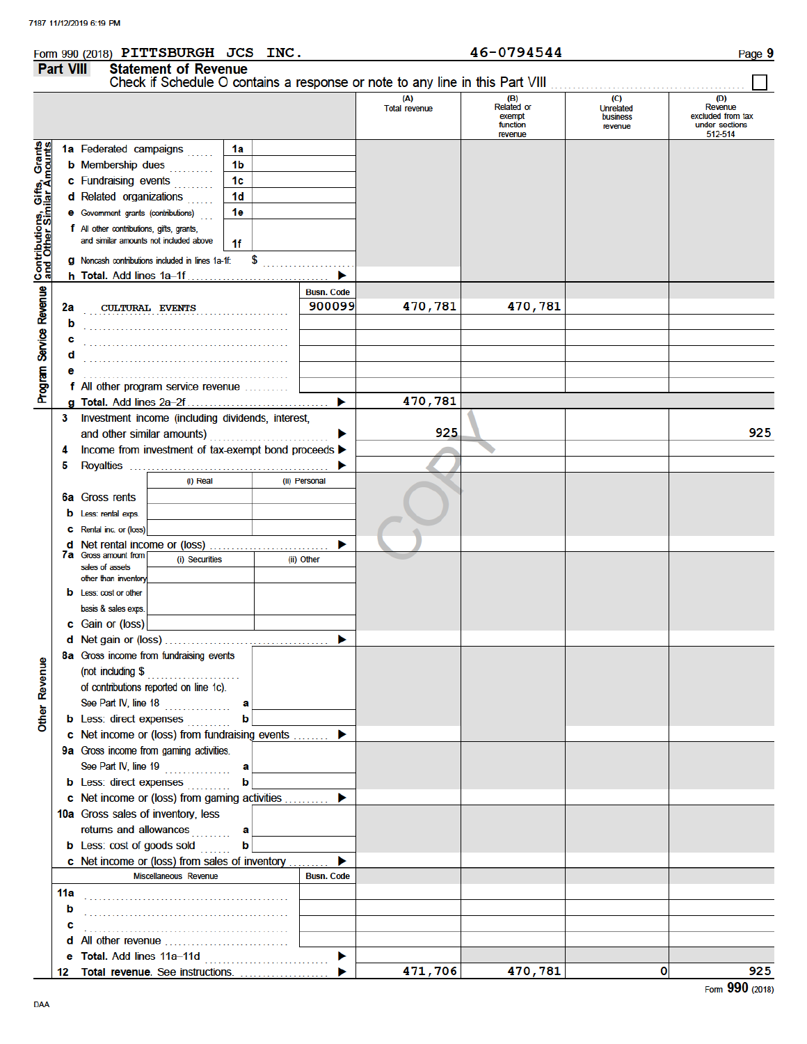## Form 990 (2018) PITTSBURGH JCS INC.

46-0794544

Page 9

|                                                     | <b>Part VIII</b> | <b>Statement of Revenue</b><br>Check if Schedule O contains a response or note to any line in this Part VIII                                                                                                                                                                                                                             |                   |                             |                                                           |                                                |                                                                  |
|-----------------------------------------------------|------------------|------------------------------------------------------------------------------------------------------------------------------------------------------------------------------------------------------------------------------------------------------------------------------------------------------------------------------------------|-------------------|-----------------------------|-----------------------------------------------------------|------------------------------------------------|------------------------------------------------------------------|
|                                                     |                  |                                                                                                                                                                                                                                                                                                                                          |                   | (A)<br><b>Total revenue</b> | (B)<br><b>Related or</b><br>exempt<br>function<br>revenue | (C)<br><b>Unrelated</b><br>business<br>revenue | (D)<br>Revenue<br>excluded from tax<br>under sections<br>512-514 |
| <b>Service Revenue Contributions, Gifts, Grants</b> |                  | 1a Federated campaigns<br>1a<br><b>b</b> Membership dues<br>1b<br>c Fundraising events<br>1c<br>d Related organizations<br>1d<br>1e<br>e Government grants (contributions)<br>f All other contributions, gifts, grants,<br>and similar amounts not included above<br>1f<br><b>g</b> Noncash contributions included in lines 1a-1f:<br>\$ |                   |                             |                                                           |                                                |                                                                  |
|                                                     |                  |                                                                                                                                                                                                                                                                                                                                          |                   |                             |                                                           |                                                |                                                                  |
|                                                     |                  |                                                                                                                                                                                                                                                                                                                                          | <b>Busn. Code</b> |                             |                                                           |                                                |                                                                  |
|                                                     | 2a<br>b          | <b>CULTURAL EVENTS</b>                                                                                                                                                                                                                                                                                                                   | 900099            | 470,781                     | 470,781                                                   |                                                |                                                                  |
|                                                     |                  |                                                                                                                                                                                                                                                                                                                                          |                   |                             |                                                           |                                                |                                                                  |
|                                                     |                  |                                                                                                                                                                                                                                                                                                                                          |                   |                             |                                                           |                                                |                                                                  |
|                                                     |                  |                                                                                                                                                                                                                                                                                                                                          |                   |                             |                                                           |                                                |                                                                  |
|                                                     |                  |                                                                                                                                                                                                                                                                                                                                          |                   |                             |                                                           |                                                |                                                                  |
| Program                                             |                  | f All other program service revenue                                                                                                                                                                                                                                                                                                      |                   | 470,781                     |                                                           |                                                |                                                                  |
|                                                     |                  |                                                                                                                                                                                                                                                                                                                                          |                   |                             |                                                           |                                                |                                                                  |
|                                                     | 3                | Investment income (including dividends, interest,                                                                                                                                                                                                                                                                                        |                   |                             |                                                           |                                                |                                                                  |
|                                                     |                  | and other similar amounts)                                                                                                                                                                                                                                                                                                               |                   | 925                         |                                                           |                                                | 925                                                              |
|                                                     | 4                | Income from investment of tax-exempt bond proceeds >                                                                                                                                                                                                                                                                                     |                   |                             |                                                           |                                                |                                                                  |
|                                                     | 5                | <b>Royalties</b>                                                                                                                                                                                                                                                                                                                         |                   |                             |                                                           |                                                |                                                                  |
|                                                     |                  | (i) Real                                                                                                                                                                                                                                                                                                                                 | (ii) Personal     |                             |                                                           |                                                |                                                                  |
|                                                     | бa               | <b>Gross rents</b>                                                                                                                                                                                                                                                                                                                       |                   |                             |                                                           |                                                |                                                                  |
|                                                     |                  | Less: rental exps.                                                                                                                                                                                                                                                                                                                       |                   |                             |                                                           |                                                |                                                                  |
|                                                     | с                | Rental inc. or (loss)                                                                                                                                                                                                                                                                                                                    |                   |                             |                                                           |                                                |                                                                  |
|                                                     | d                | Net rental income or (loss)                                                                                                                                                                                                                                                                                                              |                   |                             |                                                           |                                                |                                                                  |
|                                                     |                  | <b>7a</b> Gross amount from<br>(i) Securities                                                                                                                                                                                                                                                                                            | (ii) Other        |                             |                                                           |                                                |                                                                  |
|                                                     |                  | sales of assets                                                                                                                                                                                                                                                                                                                          |                   |                             |                                                           |                                                |                                                                  |
|                                                     |                  | other than inventory                                                                                                                                                                                                                                                                                                                     |                   |                             |                                                           |                                                |                                                                  |
|                                                     |                  | Less: cost or other                                                                                                                                                                                                                                                                                                                      |                   |                             |                                                           |                                                |                                                                  |
|                                                     |                  | basis & sales exps.                                                                                                                                                                                                                                                                                                                      |                   |                             |                                                           |                                                |                                                                  |
|                                                     |                  | Gain or (loss)                                                                                                                                                                                                                                                                                                                           |                   |                             |                                                           |                                                |                                                                  |
|                                                     |                  | the company of the company of                                                                                                                                                                                                                                                                                                            |                   |                             |                                                           |                                                |                                                                  |
|                                                     |                  | 8a Gross income from fundraising events                                                                                                                                                                                                                                                                                                  |                   |                             |                                                           |                                                |                                                                  |
|                                                     |                  | (not including $$$                                                                                                                                                                                                                                                                                                                       |                   |                             |                                                           |                                                |                                                                  |
|                                                     |                  | of contributions reported on line 1c).                                                                                                                                                                                                                                                                                                   |                   |                             |                                                           |                                                |                                                                  |
| Other Revenue                                       |                  | See Part IV, line 18<br>a                                                                                                                                                                                                                                                                                                                |                   |                             |                                                           |                                                |                                                                  |
|                                                     |                  | b<br><b>b</b> Less: direct expenses                                                                                                                                                                                                                                                                                                      |                   |                             |                                                           |                                                |                                                                  |
|                                                     |                  | c Net income or (loss) from fundraising events  ▶                                                                                                                                                                                                                                                                                        |                   |                             |                                                           |                                                |                                                                  |
|                                                     |                  | 9a Gross income from gaming activities.                                                                                                                                                                                                                                                                                                  |                   |                             |                                                           |                                                |                                                                  |
|                                                     |                  | See Part IV, line 19<br>a                                                                                                                                                                                                                                                                                                                |                   |                             |                                                           |                                                |                                                                  |
|                                                     |                  | b<br><b>b</b> Less: direct expenses                                                                                                                                                                                                                                                                                                      |                   |                             |                                                           |                                                |                                                                  |
|                                                     |                  | c Net income or (loss) from gaming activities                                                                                                                                                                                                                                                                                            |                   |                             |                                                           |                                                |                                                                  |
|                                                     |                  | 10a Gross sales of inventory, less                                                                                                                                                                                                                                                                                                       |                   |                             |                                                           |                                                |                                                                  |
|                                                     |                  | returns and allowances<br>a                                                                                                                                                                                                                                                                                                              |                   |                             |                                                           |                                                |                                                                  |
|                                                     |                  | þ<br><b>b</b> Less: cost of goods sold                                                                                                                                                                                                                                                                                                   |                   |                             |                                                           |                                                |                                                                  |
|                                                     |                  | <b>c</b> Net income or (loss) from sales of inventory                                                                                                                                                                                                                                                                                    |                   |                             |                                                           |                                                |                                                                  |
|                                                     |                  | Miscellaneous Revenue                                                                                                                                                                                                                                                                                                                    | <b>Busn. Code</b> |                             |                                                           |                                                |                                                                  |
|                                                     |                  |                                                                                                                                                                                                                                                                                                                                          |                   |                             |                                                           |                                                |                                                                  |
|                                                     | 11a              |                                                                                                                                                                                                                                                                                                                                          |                   |                             |                                                           |                                                |                                                                  |
|                                                     | b                |                                                                                                                                                                                                                                                                                                                                          |                   |                             |                                                           |                                                |                                                                  |
|                                                     |                  |                                                                                                                                                                                                                                                                                                                                          |                   |                             |                                                           |                                                |                                                                  |
|                                                     |                  |                                                                                                                                                                                                                                                                                                                                          |                   |                             |                                                           |                                                |                                                                  |
|                                                     | е                |                                                                                                                                                                                                                                                                                                                                          | ▶                 |                             |                                                           |                                                |                                                                  |
|                                                     | 12               | <b>Total revenue.</b> See instructions.                                                                                                                                                                                                                                                                                                  |                   | 471,706                     | 470,781                                                   | 0                                              | 925                                                              |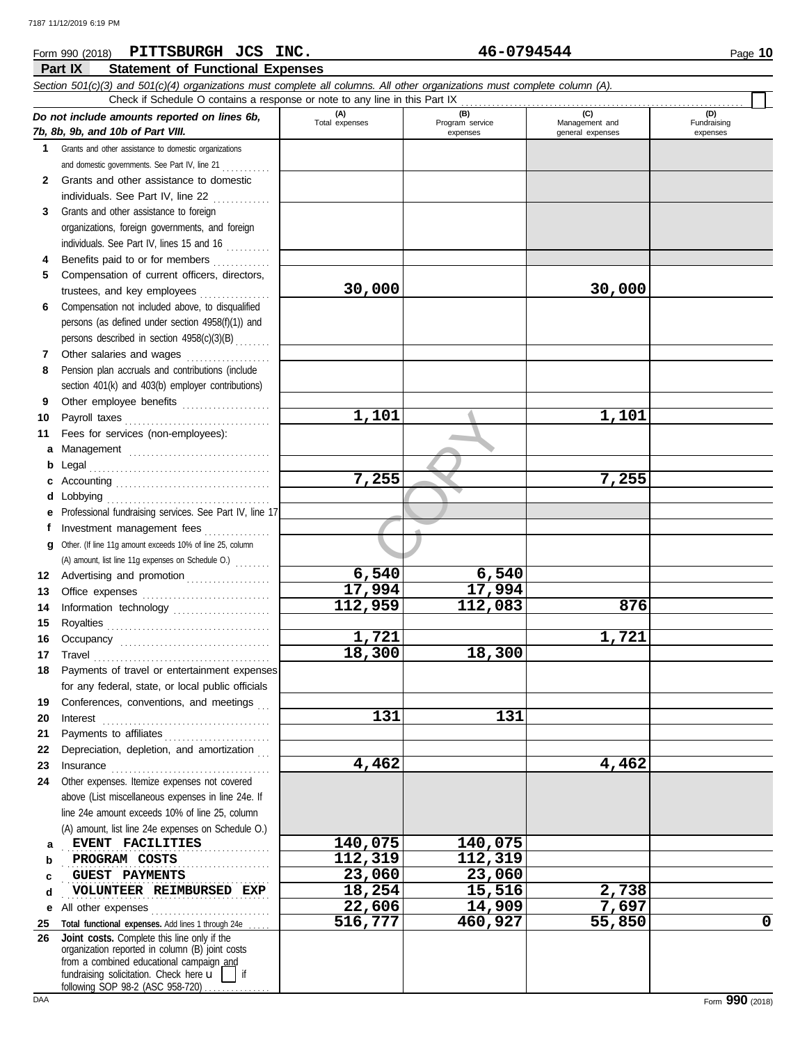## **Part IX Statement of Functional Expenses** Form 990 (2018) Page **10 PITTSBURGH JCS INC. 46-0794544** *Section 501(c)(3) and 501(c)(4) organizations must complete all columns. All other organizations must complete column (A). Do not include amounts reported on lines 6b, 7b, 8b, 9b, and 10b of Part VIII.* **1 2 3** Grants and other assistance to foreign **4 5 6 7** Grants and other assistance to domestic organizations and domestic governments. See Part IV, line 21 . . . . . . . . . . Grants and other assistance to domestic individuals. See Part IV, line 22 . . . . . . . . . . . . . organizations, foreign governments, and foreign individuals. See Part IV, lines 15 and 16 Benefits paid to or for members ............. Compensation of current officers, directors, trustees, and key employees . . . . . . . . . . . . . . . . Compensation not included above, to disqualified persons (as defined under section 4958(f)(1)) and persons described in section 4958(c)(3)(B) . . . . . . . . Other salaries and wages ................... **(A) (B) (C) (D)** Total expenses Program service<br>
expenses Program service<br>  $\frac{1}{2}$  Management and<br>
general expenses expenses general expenses (D)<br>Fundraising expenses Check if Schedule O contains a response or note to any line in this Part IX **30,000 30,000**

 $\begin{array}{c|c} \hline 101 \ \hline 255 \ \hline \end{array}$ 

**6,540 6,540**

**131 131**

**18,300 18,300**

**1,101 1,101**

**7,255 7,255**

**17,994 17,994 112,959 112,083 876**

**1,721 1,721**

**4,462 4,462**

**22,606 14,909 7,697**

**516,777 460,927 55,850 0**

- **8 9** Pension plan accruals and contributions (include section 401(k) and 403(b) employer contributions) Other employee benefits ....................
- **10 11 a** Management ................................. Payroll taxes . . . . . . . . . . . . . . . . . . . . . . . . . . . . . . . . . Fees for services (non-employees):
- **b** Legal . . . . . . . . . . . . . . . . . . . . . . . . . . . . . . . . . . . . . . . . . **c** Accounting . . . . . . . . . . . . . . . . . . . . . . . . . . . . . . . . . . . **d** Lobbying . . . . . . . . . . . . . . . . . . . . . . . . . . . . . . . . . . . . . **e** Professional fundraising services. See Part IV, line 17 **f g** Other. (If line 11g amount exceeds 10% of line 25, column Investment management fees ................
- **12** Advertising and promotion . . . . . . . . . . . . . . . . . . **13 14 15** Office expenses ................................ Information technology ...................... Royalties . . . . . . . . . . . . . . . . . . . . . . . . . . . . . . . . . . . . . (A) amount, list line 11g expenses on Schedule O.) .......
- **16 17 18 19 20 21** Occupancy . . . . . . . . . . . . . . . . . . . . . . . . . . . . . . . . . . Travel . . . . . . . . . . . . . . . . . . . . . . . . . . . . . . . . . . . . . . . . Payments of travel or entertainment expenses for any federal, state, or local public officials Conferences, conventions, and meetings Interest . . . . . . . . . . . . . . . . . . . . . . . . . . . . . . . . . . . . . .
- **22 23 24** Payments to affiliates . . . . . . . . . . . . . . . . . . . . . . . . Depreciation, depletion, and amortization Insurance . . . . . . . . . . . . . . . . . . . . . . . . . . . . . . . . . . . . Other expenses. Itemize expenses not covered
	- above (List miscellaneous expenses in line 24e. If line 24e amount exceeds 10% of line 25, column (A) amount, list line 24e expenses on Schedule O.)
- **a b c d e** All other expenses . . . . . . . . . . . . . . . . . . . . . . . . . . . **EVENT FACILITIES 140,075** 140,075 **PROGRAM COSTS** 2008 2012 212,319 212,319 **CUEST PAYMENTS** 23,060 23,060 **VOLUNTEER REIMBURSED EXP** 18,254 15,516 2,738
- **25 Total functional expenses.** Add lines 1 through 24e . . . . . **26** fundraising solicitation. Check here  $\mathbf u$ organization reported in column (B) joint costs from a combined educational campaign and following SOP 98-2 (ASC 958-720) **Joint costs.** Complete this line only if the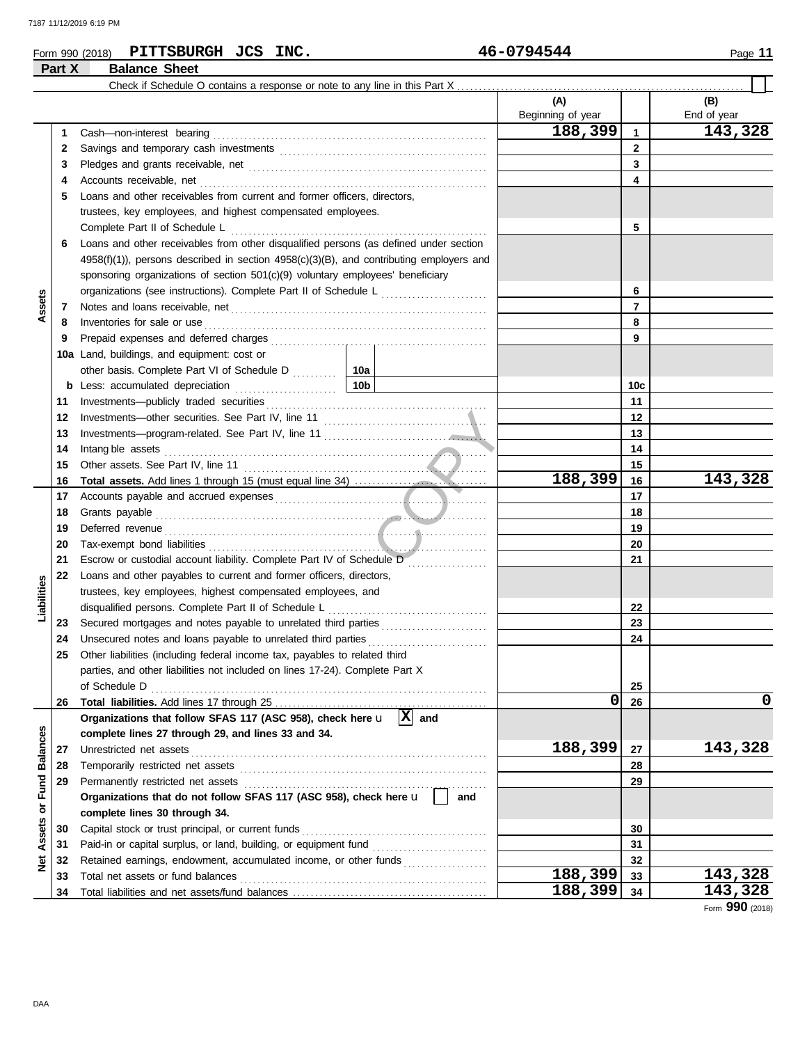## Form 990 (2018) Page **11 PITTSBURGH JCS INC. 46-0794544 Part X Balance Sheet**

|                              |    |                                                                                                                                                                                                                                      | (A)<br>Beginning of year |                | (B)<br>End of year |
|------------------------------|----|--------------------------------------------------------------------------------------------------------------------------------------------------------------------------------------------------------------------------------------|--------------------------|----------------|--------------------|
|                              | 1  | Cash-non-interest bearing                                                                                                                                                                                                            | 188,399                  | 1              | 143,328            |
|                              | 2  |                                                                                                                                                                                                                                      |                          | $\mathbf{2}$   |                    |
|                              | 3  |                                                                                                                                                                                                                                      |                          | 3              |                    |
|                              | 4  |                                                                                                                                                                                                                                      |                          | 4              |                    |
|                              | 5  | Loans and other receivables from current and former officers, directors,                                                                                                                                                             |                          |                |                    |
|                              |    | trustees, key employees, and highest compensated employees.                                                                                                                                                                          |                          |                |                    |
|                              |    | Complete Part II of Schedule L                                                                                                                                                                                                       |                          | 5              |                    |
|                              | 6  | Loans and other receivables from other disqualified persons (as defined under section                                                                                                                                                |                          |                |                    |
|                              |    | $4958(f)(1)$ ), persons described in section $4958(c)(3)(B)$ , and contributing employers and                                                                                                                                        |                          |                |                    |
|                              |    | sponsoring organizations of section 501(c)(9) voluntary employees' beneficiary                                                                                                                                                       |                          |                |                    |
|                              |    |                                                                                                                                                                                                                                      |                          | 6              |                    |
| Assets                       | 7  |                                                                                                                                                                                                                                      |                          | $\overline{7}$ |                    |
|                              | 8  |                                                                                                                                                                                                                                      |                          | 8              |                    |
|                              | 9  |                                                                                                                                                                                                                                      |                          | 9              |                    |
|                              |    | 10a Land, buildings, and equipment: cost or                                                                                                                                                                                          |                          |                |                    |
|                              |    |                                                                                                                                                                                                                                      |                          |                |                    |
|                              |    | other basis. Complete Part VI of Schedule D  10a                                                                                                                                                                                     |                          | 10c            |                    |
|                              |    | <b>b</b> Less: accumulated depreciation <b>contains the Less: accumulated depreciation</b>                                                                                                                                           |                          |                |                    |
|                              | 11 |                                                                                                                                                                                                                                      |                          | 11             |                    |
|                              | 12 |                                                                                                                                                                                                                                      |                          | 12             |                    |
|                              | 13 |                                                                                                                                                                                                                                      |                          | 13             |                    |
|                              | 14 | Intang ble assets                                                                                                                                                                                                                    |                          | 14             |                    |
|                              | 15 | Other assets. See Part IV, line 11 [2010] [2010] [2010] [2010] [2010] [2010] [2010] [2010] [2010] [2010] [2010] [2010] [2010] [2010] [2010] [2010] [2010] [2010] [2010] [2010] [2010] [2010] [2010] [2010] [2010] [2010] [2010       | 188,399                  | 15             | 143,328            |
|                              | 16 |                                                                                                                                                                                                                                      |                          | 16             |                    |
|                              | 17 |                                                                                                                                                                                                                                      |                          | 17             |                    |
|                              | 18 |                                                                                                                                                                                                                                      |                          | 18             |                    |
|                              | 19 | Deferred revenue <b>contract and the contract of the contract of the contract of the contract of the contract of the contract of the contract of the contract of the contract of the contract of the contract of the contract of</b> |                          | 19             |                    |
|                              | 20 |                                                                                                                                                                                                                                      |                          | 20             |                    |
|                              | 21 | Escrow or custodial account liability. Complete Part IV of Schedule D                                                                                                                                                                |                          | 21             |                    |
|                              | 22 | Loans and other payables to current and former officers, directors,                                                                                                                                                                  |                          |                |                    |
| Liabilities                  |    | trustees, key employees, highest compensated employees, and                                                                                                                                                                          |                          |                |                    |
|                              |    | disqualified persons. Complete Part II of Schedule L                                                                                                                                                                                 |                          | 22             |                    |
|                              | 23 |                                                                                                                                                                                                                                      |                          | 23             |                    |
|                              | 24 | Unsecured notes and loans payable to unrelated third parties                                                                                                                                                                         |                          | 24             |                    |
|                              | 25 | Other liabilities (including federal income tax, payables to related third                                                                                                                                                           |                          |                |                    |
|                              |    | parties, and other liabilities not included on lines 17-24). Complete Part X                                                                                                                                                         |                          |                |                    |
|                              |    |                                                                                                                                                                                                                                      | 0                        | 25             | 0                  |
|                              | 26 |                                                                                                                                                                                                                                      |                          | 26             |                    |
|                              |    | Organizations that follow SFAS 117 (ASC 958), check here $\mathbf{u}$ $ \mathbf{X} $ and                                                                                                                                             |                          |                |                    |
|                              |    | complete lines 27 through 29, and lines 33 and 34.                                                                                                                                                                                   |                          |                |                    |
| <b>Balances</b>              | 27 | Unrestricted net assets                                                                                                                                                                                                              | 188,399                  | 27             | 143,328            |
|                              | 28 |                                                                                                                                                                                                                                      |                          | 28             |                    |
| Fund                         | 29 | Permanently restricted net assets                                                                                                                                                                                                    |                          | 29             |                    |
| $\overleftarrow{\mathbf{o}}$ |    | Organizations that do not follow SFAS 117 (ASC 958), check here u<br>and                                                                                                                                                             |                          |                |                    |
|                              |    | complete lines 30 through 34.                                                                                                                                                                                                        |                          |                |                    |
| Assets                       | 30 | Capital stock or trust principal, or current funds                                                                                                                                                                                   |                          | 30             |                    |
|                              | 31 | Paid-in or capital surplus, or land, building, or equipment fund                                                                                                                                                                     |                          | 31             |                    |
| ğ                            | 32 | Retained earnings, endowment, accumulated income, or other funds                                                                                                                                                                     |                          | 32             |                    |
|                              | 33 | Total net assets or fund balances                                                                                                                                                                                                    | 188,399                  | 33             | 143,328            |
|                              | 34 |                                                                                                                                                                                                                                      | 188,399                  | 34             | 143,328            |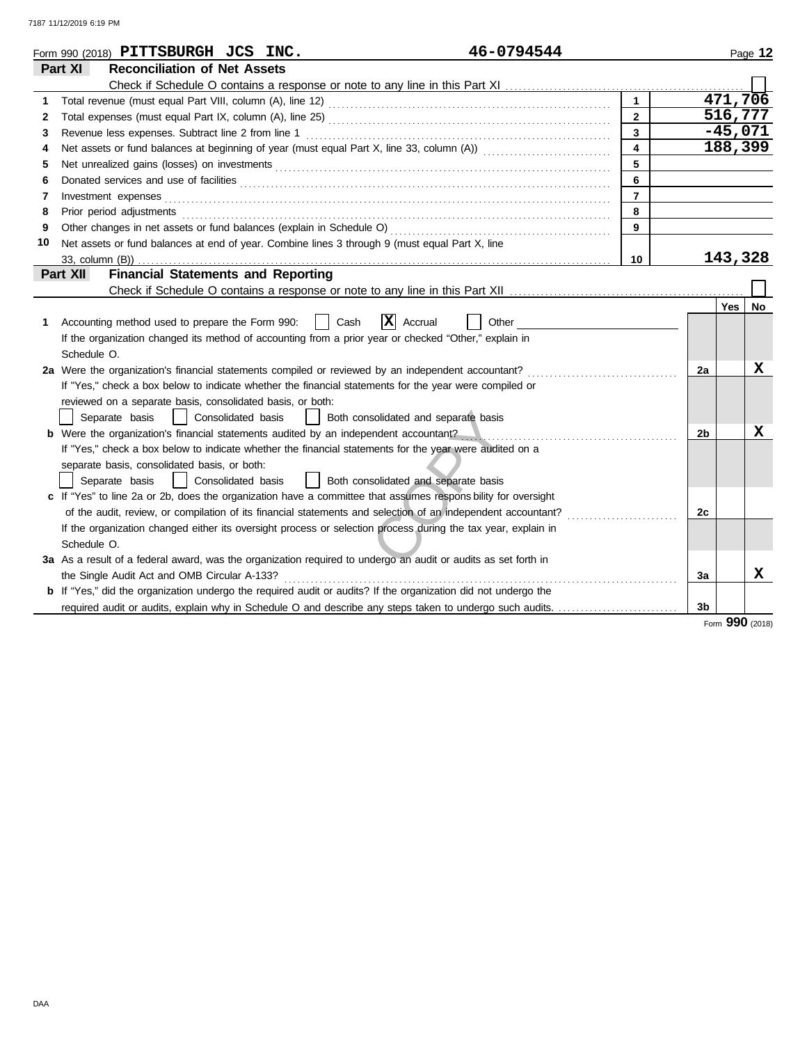| Part XI<br><b>Reconciliation of Net Assets</b><br>471,706<br>$\mathbf{1}$<br>1<br>516,777<br>$\overline{2}$<br>2<br>$-45,071$<br>$\overline{3}$<br>Revenue less expenses. Subtract line 2 from line 1<br>3<br>188,399<br>$\mathbf{A}$<br>Net assets or fund balances at beginning of year (must equal Part X, line 33, column (A)) [[[[[[[[[[[[[[[[[[[<br>4<br>5<br>5<br>6<br>Donated services and use of facilities <b>constructs</b> and a service of the service of the service of the service of the service of the service of the service of the service of the service of the service of the service of the<br>6<br>$\overline{7}$<br>Investment expenses <b>contract and the expenses</b> contract the expenses of the expenses of the expenses of the expenses of the expenses of the expenses of the expenses of the expenses of the expenses of the expenses of the e<br>7<br>8<br>8<br>$\overline{9}$<br>9<br>Net assets or fund balances at end of year. Combine lines 3 through 9 (must equal Part X, line<br>10<br>143,328<br>10<br><b>Financial Statements and Reporting</b><br>Part XII<br>Yes<br>No<br> X <br>Accounting method used to prepare the Form 990:<br>Cash<br>Other<br>Accrual<br>1<br>If the organization changed its method of accounting from a prior year or checked "Other," explain in<br>Schedule O.<br>x<br>2a Were the organization's financial statements compiled or reviewed by an independent accountant?<br>2a<br>If "Yes," check a box below to indicate whether the financial statements for the year were compiled or<br>reviewed on a separate basis, consolidated basis, or both:<br>Both consolidated and separate basis<br>Separate basis<br>Consolidated basis<br>$\perp$<br>X<br>b Were the organization's financial statements audited by an independent accountant?<br>2b<br>If "Yes," check a box below to indicate whether the financial statements for the year were audited on a<br>separate basis, consolidated basis, or both:<br>Separate basis<br>$\Box$<br>Consolidated basis<br>  Both consolidated and separate basis<br>c If "Yes" to line 2a or 2b, does the organization have a committee that assumes respons bility for oversight<br>of the audit, review, or compilation of its financial statements and selection of an independent accountant?<br>2c<br>If the organization changed either its oversight process or selection process during the tax year, explain in<br>Schedule O.<br>3a As a result of a federal award, was the organization required to undergo an audit or audits as set forth in<br>x<br>the Single Audit Act and OMB Circular A-133?<br>За<br><b>b</b> If "Yes," did the organization undergo the required audit or audits? If the organization did not undergo the<br>required audit or audits, explain why in Schedule O and describe any steps taken to undergo such audits.<br>3 <sub>b</sub> | 46-0794544<br>Form 990 (2018) PITTSBURGH JCS INC. |  | Page 12 |
|--------------------------------------------------------------------------------------------------------------------------------------------------------------------------------------------------------------------------------------------------------------------------------------------------------------------------------------------------------------------------------------------------------------------------------------------------------------------------------------------------------------------------------------------------------------------------------------------------------------------------------------------------------------------------------------------------------------------------------------------------------------------------------------------------------------------------------------------------------------------------------------------------------------------------------------------------------------------------------------------------------------------------------------------------------------------------------------------------------------------------------------------------------------------------------------------------------------------------------------------------------------------------------------------------------------------------------------------------------------------------------------------------------------------------------------------------------------------------------------------------------------------------------------------------------------------------------------------------------------------------------------------------------------------------------------------------------------------------------------------------------------------------------------------------------------------------------------------------------------------------------------------------------------------------------------------------------------------------------------------------------------------------------------------------------------------------------------------------------------------------------------------------------------------------------------------------------------------------------------------------------------------------------------------------------------------------------------------------------------------------------------------------------------------------------------------------------------------------------------------------------------------------------------------------------------------------------------------------------------------------------------------------------------------------------------------------------------------------------------------------------------------------------------------------------------------------------------------------------------------------------------------------|---------------------------------------------------|--|---------|
|                                                                                                                                                                                                                                                                                                                                                                                                                                                                                                                                                                                                                                                                                                                                                                                                                                                                                                                                                                                                                                                                                                                                                                                                                                                                                                                                                                                                                                                                                                                                                                                                                                                                                                                                                                                                                                                                                                                                                                                                                                                                                                                                                                                                                                                                                                                                                                                                                                                                                                                                                                                                                                                                                                                                                                                                                                                                                                  |                                                   |  |         |
|                                                                                                                                                                                                                                                                                                                                                                                                                                                                                                                                                                                                                                                                                                                                                                                                                                                                                                                                                                                                                                                                                                                                                                                                                                                                                                                                                                                                                                                                                                                                                                                                                                                                                                                                                                                                                                                                                                                                                                                                                                                                                                                                                                                                                                                                                                                                                                                                                                                                                                                                                                                                                                                                                                                                                                                                                                                                                                  |                                                   |  |         |
|                                                                                                                                                                                                                                                                                                                                                                                                                                                                                                                                                                                                                                                                                                                                                                                                                                                                                                                                                                                                                                                                                                                                                                                                                                                                                                                                                                                                                                                                                                                                                                                                                                                                                                                                                                                                                                                                                                                                                                                                                                                                                                                                                                                                                                                                                                                                                                                                                                                                                                                                                                                                                                                                                                                                                                                                                                                                                                  |                                                   |  |         |
|                                                                                                                                                                                                                                                                                                                                                                                                                                                                                                                                                                                                                                                                                                                                                                                                                                                                                                                                                                                                                                                                                                                                                                                                                                                                                                                                                                                                                                                                                                                                                                                                                                                                                                                                                                                                                                                                                                                                                                                                                                                                                                                                                                                                                                                                                                                                                                                                                                                                                                                                                                                                                                                                                                                                                                                                                                                                                                  |                                                   |  |         |
|                                                                                                                                                                                                                                                                                                                                                                                                                                                                                                                                                                                                                                                                                                                                                                                                                                                                                                                                                                                                                                                                                                                                                                                                                                                                                                                                                                                                                                                                                                                                                                                                                                                                                                                                                                                                                                                                                                                                                                                                                                                                                                                                                                                                                                                                                                                                                                                                                                                                                                                                                                                                                                                                                                                                                                                                                                                                                                  |                                                   |  |         |
|                                                                                                                                                                                                                                                                                                                                                                                                                                                                                                                                                                                                                                                                                                                                                                                                                                                                                                                                                                                                                                                                                                                                                                                                                                                                                                                                                                                                                                                                                                                                                                                                                                                                                                                                                                                                                                                                                                                                                                                                                                                                                                                                                                                                                                                                                                                                                                                                                                                                                                                                                                                                                                                                                                                                                                                                                                                                                                  |                                                   |  |         |
|                                                                                                                                                                                                                                                                                                                                                                                                                                                                                                                                                                                                                                                                                                                                                                                                                                                                                                                                                                                                                                                                                                                                                                                                                                                                                                                                                                                                                                                                                                                                                                                                                                                                                                                                                                                                                                                                                                                                                                                                                                                                                                                                                                                                                                                                                                                                                                                                                                                                                                                                                                                                                                                                                                                                                                                                                                                                                                  |                                                   |  |         |
|                                                                                                                                                                                                                                                                                                                                                                                                                                                                                                                                                                                                                                                                                                                                                                                                                                                                                                                                                                                                                                                                                                                                                                                                                                                                                                                                                                                                                                                                                                                                                                                                                                                                                                                                                                                                                                                                                                                                                                                                                                                                                                                                                                                                                                                                                                                                                                                                                                                                                                                                                                                                                                                                                                                                                                                                                                                                                                  |                                                   |  |         |
|                                                                                                                                                                                                                                                                                                                                                                                                                                                                                                                                                                                                                                                                                                                                                                                                                                                                                                                                                                                                                                                                                                                                                                                                                                                                                                                                                                                                                                                                                                                                                                                                                                                                                                                                                                                                                                                                                                                                                                                                                                                                                                                                                                                                                                                                                                                                                                                                                                                                                                                                                                                                                                                                                                                                                                                                                                                                                                  |                                                   |  |         |
|                                                                                                                                                                                                                                                                                                                                                                                                                                                                                                                                                                                                                                                                                                                                                                                                                                                                                                                                                                                                                                                                                                                                                                                                                                                                                                                                                                                                                                                                                                                                                                                                                                                                                                                                                                                                                                                                                                                                                                                                                                                                                                                                                                                                                                                                                                                                                                                                                                                                                                                                                                                                                                                                                                                                                                                                                                                                                                  |                                                   |  |         |
|                                                                                                                                                                                                                                                                                                                                                                                                                                                                                                                                                                                                                                                                                                                                                                                                                                                                                                                                                                                                                                                                                                                                                                                                                                                                                                                                                                                                                                                                                                                                                                                                                                                                                                                                                                                                                                                                                                                                                                                                                                                                                                                                                                                                                                                                                                                                                                                                                                                                                                                                                                                                                                                                                                                                                                                                                                                                                                  |                                                   |  |         |
|                                                                                                                                                                                                                                                                                                                                                                                                                                                                                                                                                                                                                                                                                                                                                                                                                                                                                                                                                                                                                                                                                                                                                                                                                                                                                                                                                                                                                                                                                                                                                                                                                                                                                                                                                                                                                                                                                                                                                                                                                                                                                                                                                                                                                                                                                                                                                                                                                                                                                                                                                                                                                                                                                                                                                                                                                                                                                                  |                                                   |  |         |
|                                                                                                                                                                                                                                                                                                                                                                                                                                                                                                                                                                                                                                                                                                                                                                                                                                                                                                                                                                                                                                                                                                                                                                                                                                                                                                                                                                                                                                                                                                                                                                                                                                                                                                                                                                                                                                                                                                                                                                                                                                                                                                                                                                                                                                                                                                                                                                                                                                                                                                                                                                                                                                                                                                                                                                                                                                                                                                  |                                                   |  |         |
|                                                                                                                                                                                                                                                                                                                                                                                                                                                                                                                                                                                                                                                                                                                                                                                                                                                                                                                                                                                                                                                                                                                                                                                                                                                                                                                                                                                                                                                                                                                                                                                                                                                                                                                                                                                                                                                                                                                                                                                                                                                                                                                                                                                                                                                                                                                                                                                                                                                                                                                                                                                                                                                                                                                                                                                                                                                                                                  |                                                   |  |         |
|                                                                                                                                                                                                                                                                                                                                                                                                                                                                                                                                                                                                                                                                                                                                                                                                                                                                                                                                                                                                                                                                                                                                                                                                                                                                                                                                                                                                                                                                                                                                                                                                                                                                                                                                                                                                                                                                                                                                                                                                                                                                                                                                                                                                                                                                                                                                                                                                                                                                                                                                                                                                                                                                                                                                                                                                                                                                                                  |                                                   |  |         |
|                                                                                                                                                                                                                                                                                                                                                                                                                                                                                                                                                                                                                                                                                                                                                                                                                                                                                                                                                                                                                                                                                                                                                                                                                                                                                                                                                                                                                                                                                                                                                                                                                                                                                                                                                                                                                                                                                                                                                                                                                                                                                                                                                                                                                                                                                                                                                                                                                                                                                                                                                                                                                                                                                                                                                                                                                                                                                                  |                                                   |  |         |
|                                                                                                                                                                                                                                                                                                                                                                                                                                                                                                                                                                                                                                                                                                                                                                                                                                                                                                                                                                                                                                                                                                                                                                                                                                                                                                                                                                                                                                                                                                                                                                                                                                                                                                                                                                                                                                                                                                                                                                                                                                                                                                                                                                                                                                                                                                                                                                                                                                                                                                                                                                                                                                                                                                                                                                                                                                                                                                  |                                                   |  |         |
|                                                                                                                                                                                                                                                                                                                                                                                                                                                                                                                                                                                                                                                                                                                                                                                                                                                                                                                                                                                                                                                                                                                                                                                                                                                                                                                                                                                                                                                                                                                                                                                                                                                                                                                                                                                                                                                                                                                                                                                                                                                                                                                                                                                                                                                                                                                                                                                                                                                                                                                                                                                                                                                                                                                                                                                                                                                                                                  |                                                   |  |         |
|                                                                                                                                                                                                                                                                                                                                                                                                                                                                                                                                                                                                                                                                                                                                                                                                                                                                                                                                                                                                                                                                                                                                                                                                                                                                                                                                                                                                                                                                                                                                                                                                                                                                                                                                                                                                                                                                                                                                                                                                                                                                                                                                                                                                                                                                                                                                                                                                                                                                                                                                                                                                                                                                                                                                                                                                                                                                                                  |                                                   |  |         |
|                                                                                                                                                                                                                                                                                                                                                                                                                                                                                                                                                                                                                                                                                                                                                                                                                                                                                                                                                                                                                                                                                                                                                                                                                                                                                                                                                                                                                                                                                                                                                                                                                                                                                                                                                                                                                                                                                                                                                                                                                                                                                                                                                                                                                                                                                                                                                                                                                                                                                                                                                                                                                                                                                                                                                                                                                                                                                                  |                                                   |  |         |
|                                                                                                                                                                                                                                                                                                                                                                                                                                                                                                                                                                                                                                                                                                                                                                                                                                                                                                                                                                                                                                                                                                                                                                                                                                                                                                                                                                                                                                                                                                                                                                                                                                                                                                                                                                                                                                                                                                                                                                                                                                                                                                                                                                                                                                                                                                                                                                                                                                                                                                                                                                                                                                                                                                                                                                                                                                                                                                  |                                                   |  |         |
|                                                                                                                                                                                                                                                                                                                                                                                                                                                                                                                                                                                                                                                                                                                                                                                                                                                                                                                                                                                                                                                                                                                                                                                                                                                                                                                                                                                                                                                                                                                                                                                                                                                                                                                                                                                                                                                                                                                                                                                                                                                                                                                                                                                                                                                                                                                                                                                                                                                                                                                                                                                                                                                                                                                                                                                                                                                                                                  |                                                   |  |         |
|                                                                                                                                                                                                                                                                                                                                                                                                                                                                                                                                                                                                                                                                                                                                                                                                                                                                                                                                                                                                                                                                                                                                                                                                                                                                                                                                                                                                                                                                                                                                                                                                                                                                                                                                                                                                                                                                                                                                                                                                                                                                                                                                                                                                                                                                                                                                                                                                                                                                                                                                                                                                                                                                                                                                                                                                                                                                                                  |                                                   |  |         |
|                                                                                                                                                                                                                                                                                                                                                                                                                                                                                                                                                                                                                                                                                                                                                                                                                                                                                                                                                                                                                                                                                                                                                                                                                                                                                                                                                                                                                                                                                                                                                                                                                                                                                                                                                                                                                                                                                                                                                                                                                                                                                                                                                                                                                                                                                                                                                                                                                                                                                                                                                                                                                                                                                                                                                                                                                                                                                                  |                                                   |  |         |
|                                                                                                                                                                                                                                                                                                                                                                                                                                                                                                                                                                                                                                                                                                                                                                                                                                                                                                                                                                                                                                                                                                                                                                                                                                                                                                                                                                                                                                                                                                                                                                                                                                                                                                                                                                                                                                                                                                                                                                                                                                                                                                                                                                                                                                                                                                                                                                                                                                                                                                                                                                                                                                                                                                                                                                                                                                                                                                  |                                                   |  |         |
|                                                                                                                                                                                                                                                                                                                                                                                                                                                                                                                                                                                                                                                                                                                                                                                                                                                                                                                                                                                                                                                                                                                                                                                                                                                                                                                                                                                                                                                                                                                                                                                                                                                                                                                                                                                                                                                                                                                                                                                                                                                                                                                                                                                                                                                                                                                                                                                                                                                                                                                                                                                                                                                                                                                                                                                                                                                                                                  |                                                   |  |         |
|                                                                                                                                                                                                                                                                                                                                                                                                                                                                                                                                                                                                                                                                                                                                                                                                                                                                                                                                                                                                                                                                                                                                                                                                                                                                                                                                                                                                                                                                                                                                                                                                                                                                                                                                                                                                                                                                                                                                                                                                                                                                                                                                                                                                                                                                                                                                                                                                                                                                                                                                                                                                                                                                                                                                                                                                                                                                                                  |                                                   |  |         |
|                                                                                                                                                                                                                                                                                                                                                                                                                                                                                                                                                                                                                                                                                                                                                                                                                                                                                                                                                                                                                                                                                                                                                                                                                                                                                                                                                                                                                                                                                                                                                                                                                                                                                                                                                                                                                                                                                                                                                                                                                                                                                                                                                                                                                                                                                                                                                                                                                                                                                                                                                                                                                                                                                                                                                                                                                                                                                                  |                                                   |  |         |
|                                                                                                                                                                                                                                                                                                                                                                                                                                                                                                                                                                                                                                                                                                                                                                                                                                                                                                                                                                                                                                                                                                                                                                                                                                                                                                                                                                                                                                                                                                                                                                                                                                                                                                                                                                                                                                                                                                                                                                                                                                                                                                                                                                                                                                                                                                                                                                                                                                                                                                                                                                                                                                                                                                                                                                                                                                                                                                  |                                                   |  |         |
|                                                                                                                                                                                                                                                                                                                                                                                                                                                                                                                                                                                                                                                                                                                                                                                                                                                                                                                                                                                                                                                                                                                                                                                                                                                                                                                                                                                                                                                                                                                                                                                                                                                                                                                                                                                                                                                                                                                                                                                                                                                                                                                                                                                                                                                                                                                                                                                                                                                                                                                                                                                                                                                                                                                                                                                                                                                                                                  |                                                   |  |         |
|                                                                                                                                                                                                                                                                                                                                                                                                                                                                                                                                                                                                                                                                                                                                                                                                                                                                                                                                                                                                                                                                                                                                                                                                                                                                                                                                                                                                                                                                                                                                                                                                                                                                                                                                                                                                                                                                                                                                                                                                                                                                                                                                                                                                                                                                                                                                                                                                                                                                                                                                                                                                                                                                                                                                                                                                                                                                                                  |                                                   |  |         |
|                                                                                                                                                                                                                                                                                                                                                                                                                                                                                                                                                                                                                                                                                                                                                                                                                                                                                                                                                                                                                                                                                                                                                                                                                                                                                                                                                                                                                                                                                                                                                                                                                                                                                                                                                                                                                                                                                                                                                                                                                                                                                                                                                                                                                                                                                                                                                                                                                                                                                                                                                                                                                                                                                                                                                                                                                                                                                                  |                                                   |  |         |
|                                                                                                                                                                                                                                                                                                                                                                                                                                                                                                                                                                                                                                                                                                                                                                                                                                                                                                                                                                                                                                                                                                                                                                                                                                                                                                                                                                                                                                                                                                                                                                                                                                                                                                                                                                                                                                                                                                                                                                                                                                                                                                                                                                                                                                                                                                                                                                                                                                                                                                                                                                                                                                                                                                                                                                                                                                                                                                  |                                                   |  |         |
|                                                                                                                                                                                                                                                                                                                                                                                                                                                                                                                                                                                                                                                                                                                                                                                                                                                                                                                                                                                                                                                                                                                                                                                                                                                                                                                                                                                                                                                                                                                                                                                                                                                                                                                                                                                                                                                                                                                                                                                                                                                                                                                                                                                                                                                                                                                                                                                                                                                                                                                                                                                                                                                                                                                                                                                                                                                                                                  |                                                   |  |         |
|                                                                                                                                                                                                                                                                                                                                                                                                                                                                                                                                                                                                                                                                                                                                                                                                                                                                                                                                                                                                                                                                                                                                                                                                                                                                                                                                                                                                                                                                                                                                                                                                                                                                                                                                                                                                                                                                                                                                                                                                                                                                                                                                                                                                                                                                                                                                                                                                                                                                                                                                                                                                                                                                                                                                                                                                                                                                                                  |                                                   |  |         |

Form **990** (2018)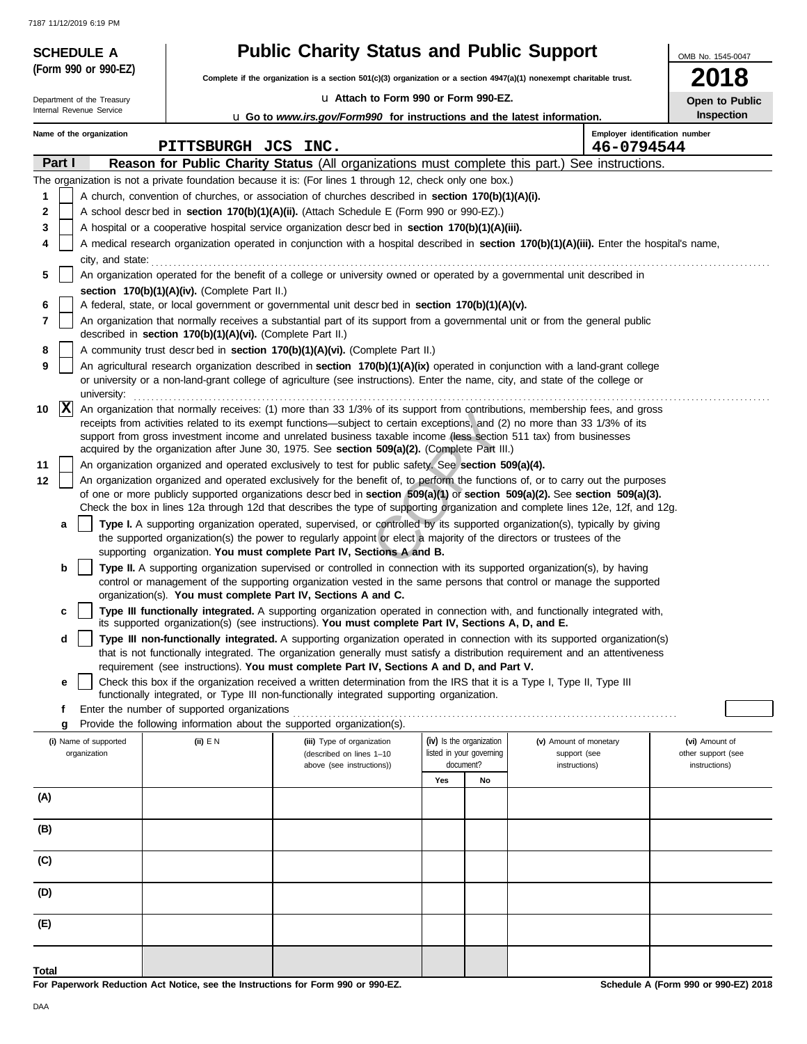| <b>SCHEDULE A</b>                                      |                                                                                                                                                                                                                                                | <b>Public Charity Status and Public Support</b>                                                                                                                                                                                                                                                                                                                                 |     |                                                      |                                        | OMB No. 1545-0047                    |  |
|--------------------------------------------------------|------------------------------------------------------------------------------------------------------------------------------------------------------------------------------------------------------------------------------------------------|---------------------------------------------------------------------------------------------------------------------------------------------------------------------------------------------------------------------------------------------------------------------------------------------------------------------------------------------------------------------------------|-----|------------------------------------------------------|----------------------------------------|--------------------------------------|--|
| (Form 990 or 990-EZ)                                   |                                                                                                                                                                                                                                                | Complete if the organization is a section $501(c)(3)$ organization or a section $4947(a)(1)$ nonexempt charitable trust.                                                                                                                                                                                                                                                        |     |                                                      |                                        | 18                                   |  |
| Department of the Treasury<br>Internal Revenue Service |                                                                                                                                                                                                                                                | La Attach to Form 990 or Form 990-EZ.                                                                                                                                                                                                                                                                                                                                           |     |                                                      |                                        | Open to Public                       |  |
|                                                        |                                                                                                                                                                                                                                                | <b>u</b> Go to www.irs.gov/Form990 for instructions and the latest information.                                                                                                                                                                                                                                                                                                 |     |                                                      |                                        | Inspection                           |  |
| Name of the organization                               | PITTSBURGH JCS INC.                                                                                                                                                                                                                            |                                                                                                                                                                                                                                                                                                                                                                                 |     |                                                      | 46-0794544                             | Employer identification number       |  |
| Part I                                                 |                                                                                                                                                                                                                                                | Reason for Public Charity Status (All organizations must complete this part.)                                                                                                                                                                                                                                                                                                   |     |                                                      | See instructions.                      |                                      |  |
|                                                        |                                                                                                                                                                                                                                                | The organization is not a private foundation because it is: (For lines 1 through 12, check only one box.)                                                                                                                                                                                                                                                                       |     |                                                      |                                        |                                      |  |
| 1                                                      |                                                                                                                                                                                                                                                | A church, convention of churches, or association of churches described in section 170(b)(1)(A)(i).                                                                                                                                                                                                                                                                              |     |                                                      |                                        |                                      |  |
| 2                                                      |                                                                                                                                                                                                                                                | A school descrbed in section 170(b)(1)(A)(ii). (Attach Schedule E (Form 990 or 990-EZ).)                                                                                                                                                                                                                                                                                        |     |                                                      |                                        |                                      |  |
| 3                                                      | A hospital or a cooperative hospital service organization descrbed in section 170(b)(1)(A)(iii).<br>A medical research organization operated in conjunction with a hospital described in section 170(b)(1)(A)(iii). Enter the hospital's name, |                                                                                                                                                                                                                                                                                                                                                                                 |     |                                                      |                                        |                                      |  |
| 4<br>city, and state:                                  |                                                                                                                                                                                                                                                |                                                                                                                                                                                                                                                                                                                                                                                 |     |                                                      |                                        |                                      |  |
| 5                                                      |                                                                                                                                                                                                                                                | An organization operated for the benefit of a college or university owned or operated by a governmental unit described in                                                                                                                                                                                                                                                       |     |                                                      |                                        |                                      |  |
|                                                        | section 170(b)(1)(A)(iv). (Complete Part II.)                                                                                                                                                                                                  |                                                                                                                                                                                                                                                                                                                                                                                 |     |                                                      |                                        |                                      |  |
| 6                                                      |                                                                                                                                                                                                                                                | A federal, state, or local government or governmental unit described in section 170(b)(1)(A)(v).                                                                                                                                                                                                                                                                                |     |                                                      |                                        |                                      |  |
| 7                                                      | described in section 170(b)(1)(A)(vi). (Complete Part II.)                                                                                                                                                                                     | An organization that normally receives a substantial part of its support from a governmental unit or from the general public                                                                                                                                                                                                                                                    |     |                                                      |                                        |                                      |  |
| 8                                                      |                                                                                                                                                                                                                                                | A community trust descr bed in section 170(b)(1)(A)(vi). (Complete Part II.)                                                                                                                                                                                                                                                                                                    |     |                                                      |                                        |                                      |  |
| 9<br>university:                                       |                                                                                                                                                                                                                                                | An agricultural research organization described in section 170(b)(1)(A)(ix) operated in conjunction with a land-grant college<br>or university or a non-land-grant college of agriculture (see instructions). Enter the name, city, and state of the college or                                                                                                                 |     |                                                      |                                        |                                      |  |
| $ {\bf x} $<br>10                                      |                                                                                                                                                                                                                                                | An organization that normally receives: (1) more than 33 1/3% of its support from contributions, membership fees, and gross<br>receipts from activities related to its exempt functions—subject to certain exceptions, and (2) no more than 33 1/3% of its<br>support from gross investment income and unrelated business taxable income (less section 511 tax) from businesses |     |                                                      |                                        |                                      |  |
|                                                        |                                                                                                                                                                                                                                                | acquired by the organization after June 30, 1975. See section 509(a)(2). (Complete Part III.)                                                                                                                                                                                                                                                                                   |     |                                                      |                                        |                                      |  |
| 11                                                     |                                                                                                                                                                                                                                                | An organization organized and operated exclusively to test for public safety. See section 509(a)(4).                                                                                                                                                                                                                                                                            |     |                                                      |                                        |                                      |  |
| 12                                                     |                                                                                                                                                                                                                                                | An organization organized and operated exclusively for the benefit of, to perform the functions of, or to carry out the purposes                                                                                                                                                                                                                                                |     |                                                      |                                        |                                      |  |
|                                                        |                                                                                                                                                                                                                                                | of one or more publicly supported organizations descrbed in section 509(a)(1) or section 509(a)(2). See section 509(a)(3).<br>Check the box in lines 12a through 12d that describes the type of supporting organization and complete lines 12e, 12f, and 12g.                                                                                                                   |     |                                                      |                                        |                                      |  |
| a                                                      |                                                                                                                                                                                                                                                | Type I. A supporting organization operated, supervised, or controlled by its supported organization(s), typically by giving<br>the supported organization(s) the power to regularly appoint or elect a majority of the directors or trustees of the<br>supporting organization. You must complete Part IV, Sections A and B.                                                    |     |                                                      |                                        |                                      |  |
| b                                                      |                                                                                                                                                                                                                                                | <b>Type II.</b> A supporting organization supervised or controlled in connection with its supported organization(s), by having<br>control or management of the supporting organization vested in the same persons that control or manage the supported<br>organization(s). You must complete Part IV, Sections A and C.                                                         |     |                                                      |                                        |                                      |  |
| c                                                      |                                                                                                                                                                                                                                                | Type III functionally integrated. A supporting organization operated in connection with, and functionally integrated with,<br>its supported organization(s) (see instructions). You must complete Part IV, Sections A, D, and E.                                                                                                                                                |     |                                                      |                                        |                                      |  |
| d                                                      |                                                                                                                                                                                                                                                | Type III non-functionally integrated. A supporting organization operated in connection with its supported organization(s)<br>that is not functionally integrated. The organization generally must satisfy a distribution requirement and an attentiveness                                                                                                                       |     |                                                      |                                        |                                      |  |
|                                                        |                                                                                                                                                                                                                                                | requirement (see instructions). You must complete Part IV, Sections A and D, and Part V.<br>Check this box if the organization received a written determination from the IRS that it is a Type I, Type II, Type III                                                                                                                                                             |     |                                                      |                                        |                                      |  |
| е                                                      |                                                                                                                                                                                                                                                | functionally integrated, or Type III non-functionally integrated supporting organization.                                                                                                                                                                                                                                                                                       |     |                                                      |                                        |                                      |  |
| f                                                      | Enter the number of supported organizations                                                                                                                                                                                                    |                                                                                                                                                                                                                                                                                                                                                                                 |     |                                                      |                                        |                                      |  |
| g                                                      |                                                                                                                                                                                                                                                | Provide the following information about the supported organization(s).                                                                                                                                                                                                                                                                                                          |     |                                                      |                                        |                                      |  |
| (i) Name of supported<br>organization                  | (ii) $E N$                                                                                                                                                                                                                                     | (iii) Type of organization<br>(described on lines 1-10                                                                                                                                                                                                                                                                                                                          |     | (iv) Is the organization<br>listed in your governing | (v) Amount of monetary<br>support (see | (vi) Amount of<br>other support (see |  |
|                                                        |                                                                                                                                                                                                                                                | above (see instructions))                                                                                                                                                                                                                                                                                                                                                       |     | document?                                            | instructions)                          | instructions)                        |  |
|                                                        |                                                                                                                                                                                                                                                |                                                                                                                                                                                                                                                                                                                                                                                 | Yes | No                                                   |                                        |                                      |  |
| (A)                                                    |                                                                                                                                                                                                                                                |                                                                                                                                                                                                                                                                                                                                                                                 |     |                                                      |                                        |                                      |  |
| (B)                                                    |                                                                                                                                                                                                                                                |                                                                                                                                                                                                                                                                                                                                                                                 |     |                                                      |                                        |                                      |  |
| (C)                                                    |                                                                                                                                                                                                                                                |                                                                                                                                                                                                                                                                                                                                                                                 |     |                                                      |                                        |                                      |  |
| (D)                                                    |                                                                                                                                                                                                                                                |                                                                                                                                                                                                                                                                                                                                                                                 |     |                                                      |                                        |                                      |  |
| (E)                                                    |                                                                                                                                                                                                                                                |                                                                                                                                                                                                                                                                                                                                                                                 |     |                                                      |                                        |                                      |  |
| <b>Total</b>                                           |                                                                                                                                                                                                                                                |                                                                                                                                                                                                                                                                                                                                                                                 |     |                                                      |                                        |                                      |  |

**For Paperwork Reduction Act Notice, see the Instructions for Form 990 or 990-EZ.**

**Schedule A (Form 990 or 990-EZ) 2018**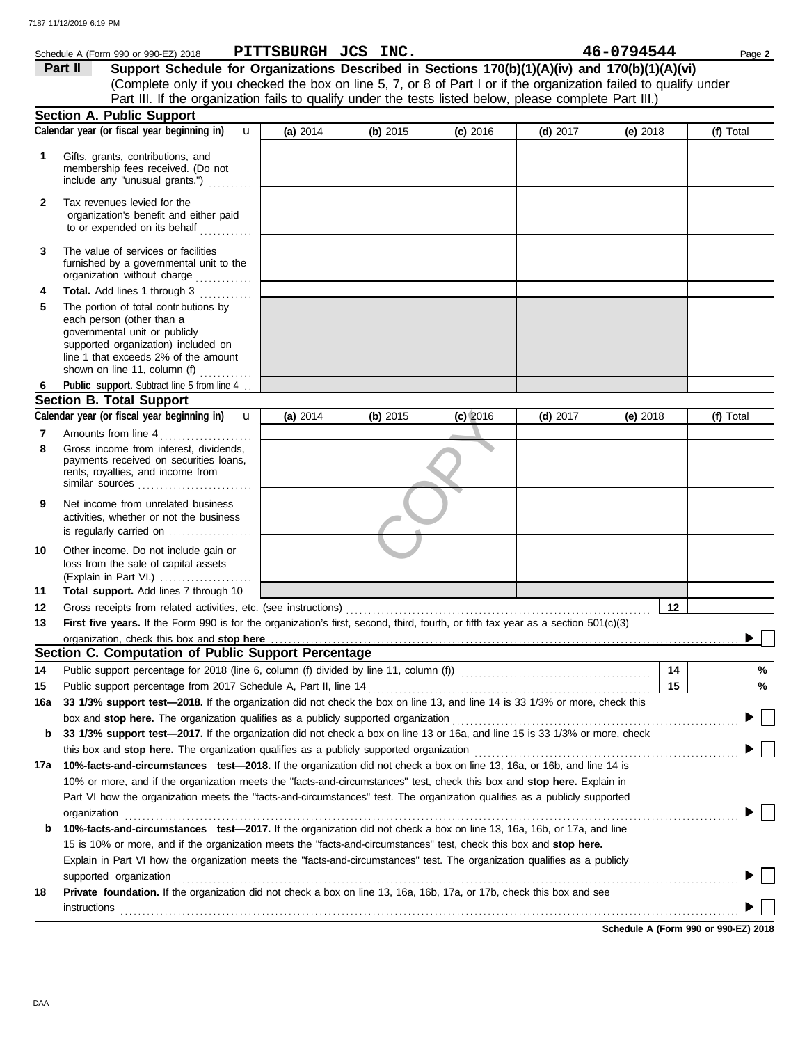|     | Schedule A (Form 990 or 990-EZ) 2018                                                                                                                                                                                        | PITTSBURGH JCS INC. |          |            |            | 46-0794544 | Page 2    |
|-----|-----------------------------------------------------------------------------------------------------------------------------------------------------------------------------------------------------------------------------|---------------------|----------|------------|------------|------------|-----------|
|     | Support Schedule for Organizations Described in Sections 170(b)(1)(A)(iv) and 170(b)(1)(A)(vi)<br>Part II                                                                                                                   |                     |          |            |            |            |           |
|     | (Complete only if you checked the box on line 5, 7, or 8 of Part I or if the organization failed to qualify under                                                                                                           |                     |          |            |            |            |           |
|     | Part III. If the organization fails to qualify under the tests listed below, please complete Part III.)                                                                                                                     |                     |          |            |            |            |           |
|     | <b>Section A. Public Support</b>                                                                                                                                                                                            |                     |          |            |            |            |           |
|     | Calendar year (or fiscal year beginning in)<br>$\mathbf{u}$                                                                                                                                                                 | (a) 2014            | (b) 2015 | $(c)$ 2016 | $(d)$ 2017 | (e) $2018$ | (f) Total |
| 1   | Gifts, grants, contributions, and<br>membership fees received. (Do not<br>include any "unusual grants.")                                                                                                                    |                     |          |            |            |            |           |
| 2   | Tax revenues levied for the<br>organization's benefit and either paid<br>to or expended on its behalf                                                                                                                       |                     |          |            |            |            |           |
| 3   | The value of services or facilities<br>furnished by a governmental unit to the<br>organization without charge                                                                                                               |                     |          |            |            |            |           |
| 4   | Total. Add lines 1 through 3                                                                                                                                                                                                |                     |          |            |            |            |           |
| 5   | The portion of total contr butions by<br>each person (other than a<br>governmental unit or publicly<br>supported organization) included on<br>line 1 that exceeds 2% of the amount<br>shown on line 11, column (f) $\ldots$ |                     |          |            |            |            |           |
| 6   | Public support. Subtract line 5 from line 4.                                                                                                                                                                                |                     |          |            |            |            |           |
|     | <b>Section B. Total Support</b>                                                                                                                                                                                             |                     |          |            |            |            |           |
|     | Calendar year (or fiscal year beginning in) <b>u</b>                                                                                                                                                                        | (a) 2014            | (b) 2015 | $(c)$ 2016 | $(d)$ 2017 | (e) 2018   | (f) Total |
| 7   | Amounts from line 4                                                                                                                                                                                                         |                     |          |            |            |            |           |
| 8   | Gross income from interest, dividends,<br>payments received on securities loans,<br>rents, royalties, and income from<br>similar sources $\ldots, \ldots, \ldots, \ldots, \ldots, \ldots$                                   |                     |          |            |            |            |           |
| 9   | Net income from unrelated business<br>activities, whether or not the business<br>is regularly carried on                                                                                                                    |                     |          |            |            |            |           |
| 10  | Other income. Do not include gain or<br>loss from the sale of capital assets<br>(Explain in Part VI.)                                                                                                                       |                     |          |            |            |            |           |
| 11  | Total support. Add lines 7 through 10                                                                                                                                                                                       |                     |          |            |            |            |           |
| 12  |                                                                                                                                                                                                                             |                     |          |            |            | 12         |           |
| 13  | First five years. If the Form 990 is for the organization's first, second, third, fourth, or fifth tax year as a section 501(c)(3)                                                                                          |                     |          |            |            |            |           |
|     | organization, check this box and stop here                                                                                                                                                                                  |                     |          |            |            |            |           |
|     | Section C. Computation of Public Support Percentage                                                                                                                                                                         |                     |          |            |            |            |           |
| 14  | Public support percentage for 2018 (line 6, column (f) divided by line 11, column (f)) [[[[[[[[[[[[[[[[[[[[[[                                                                                                               |                     |          |            |            | 14         | %         |
| 15  | Public support percentage from 2017 Schedule A, Part II, line 14                                                                                                                                                            |                     |          |            |            | 15         | %         |
| 16a | 33 1/3% support test-2018. If the organization did not check the box on line 13, and line 14 is 33 1/3% or more, check this                                                                                                 |                     |          |            |            |            |           |
|     | box and stop here. The organization qualifies as a publicly supported organization                                                                                                                                          |                     |          |            |            |            |           |
| b   | 33 1/3% support test-2017. If the organization did not check a box on line 13 or 16a, and line 15 is 33 1/3% or more, check                                                                                                 |                     |          |            |            |            |           |
|     | this box and stop here. The organization qualifies as a publicly supported organization                                                                                                                                     |                     |          |            |            |            |           |
| 17a | 10%-facts-and-circumstances test-2018. If the organization did not check a box on line 13, 16a, or 16b, and line 14 is                                                                                                      |                     |          |            |            |            |           |
|     | 10% or more, and if the organization meets the "facts-and-circumstances" test, check this box and stop here. Explain in                                                                                                     |                     |          |            |            |            |           |
|     | Part VI how the organization meets the "facts-and-circumstances" test. The organization qualifies as a publicly supported                                                                                                   |                     |          |            |            |            |           |
|     | organization                                                                                                                                                                                                                |                     |          |            |            |            |           |
| b   | 10%-facts-and-circumstances test-2017. If the organization did not check a box on line 13, 16a, 16b, or 17a, and line                                                                                                       |                     |          |            |            |            |           |
|     | 15 is 10% or more, and if the organization meets the "facts-and-circumstances" test, check this box and stop here.                                                                                                          |                     |          |            |            |            |           |
|     | Explain in Part VI how the organization meets the "facts-and-circumstances" test. The organization qualifies as a publicly                                                                                                  |                     |          |            |            |            |           |
|     | supported organization                                                                                                                                                                                                      |                     |          |            |            |            |           |
| 18  | <b>Private foundation.</b> If the organization did not check a box on line 13, 16a, 16b, 17a, or 17b, check this box and see<br>instructions                                                                                |                     |          |            |            |            |           |

**Schedule A (Form 990 or 990-EZ) 2018**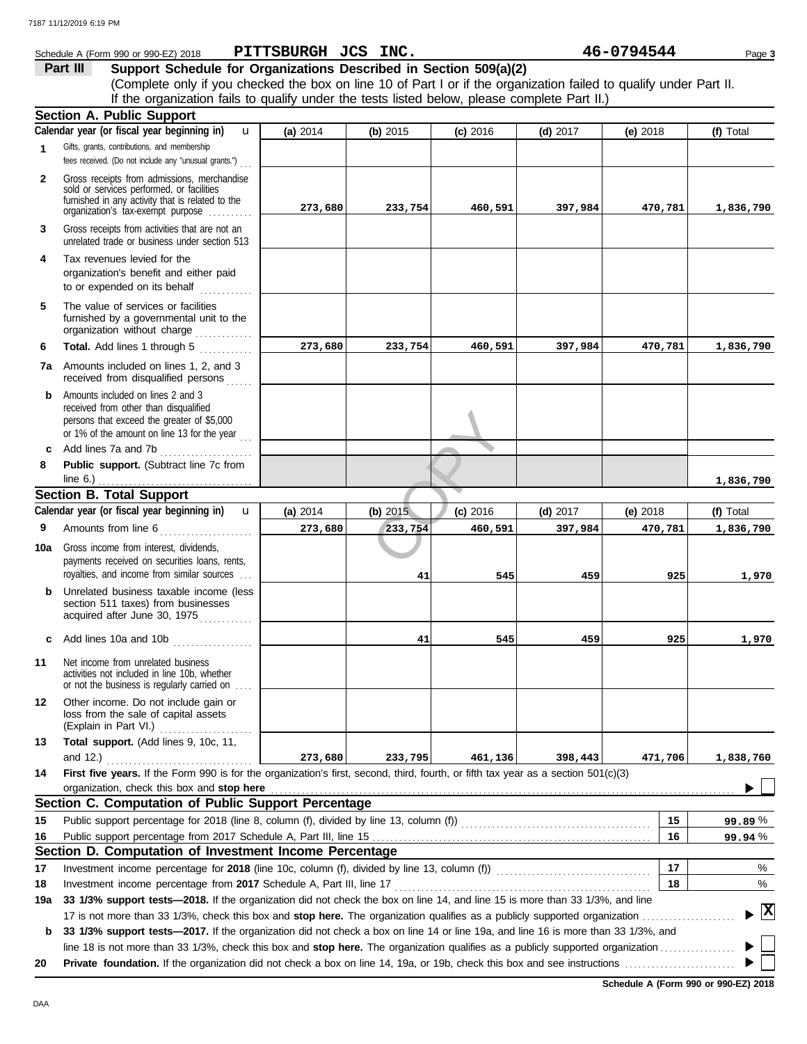|              | Schedule A (Form 990 or 990-EZ) 2018                                                                                                                                                                                                                                                                | PITTSBURGH JCS INC. |            |            |            | 46-0794544 | Page 3    |
|--------------|-----------------------------------------------------------------------------------------------------------------------------------------------------------------------------------------------------------------------------------------------------------------------------------------------------|---------------------|------------|------------|------------|------------|-----------|
|              | Support Schedule for Organizations Described in Section 509(a)(2)<br>Part III<br>(Complete only if you checked the box on line 10 of Part I or if the organization failed to qualify under Part II.<br>If the organization fails to qualify under the tests listed below, please complete Part II.) |                     |            |            |            |            |           |
|              | <b>Section A. Public Support</b>                                                                                                                                                                                                                                                                    |                     |            |            |            |            |           |
|              | Calendar year (or fiscal year beginning in)<br>u                                                                                                                                                                                                                                                    | (a) 2014            | (b) 2015   | $(c)$ 2016 | $(d)$ 2017 | (e) $2018$ | (f) Total |
| 1            | Gifts, grants, contributions, and membership<br>fees received. (Do not include any "unusual grants.")                                                                                                                                                                                               |                     |            |            |            |            |           |
| $\mathbf{2}$ | Gross receipts from admissions, merchandise<br>sold or services performed, or facilities<br>furnished in any activity that is related to the<br>organization's tax-exempt purpose                                                                                                                   | 273,680             | 233,754    | 460,591    | 397,984    | 470,781    | 1,836,790 |
| 3            | Gross receipts from activities that are not an<br>unrelated trade or business under section 513                                                                                                                                                                                                     |                     |            |            |            |            |           |
| 4            | Tax revenues levied for the<br>organization's benefit and either paid<br>to or expended on its behalf<br>.                                                                                                                                                                                          |                     |            |            |            |            |           |
| 5            | The value of services or facilities<br>furnished by a governmental unit to the<br>organization without charge                                                                                                                                                                                       |                     |            |            |            |            |           |
| 6            | Total. Add lines 1 through 5                                                                                                                                                                                                                                                                        | 273,680             | 233,754    | 460,591    | 397,984    | 470,781    | 1,836,790 |
| 7a           | Amounts included on lines 1, 2, and 3<br>received from disqualified persons                                                                                                                                                                                                                         |                     |            |            |            |            |           |
| b            | Amounts included on lines 2 and 3<br>received from other than disqualified<br>persons that exceed the greater of \$5,000<br>or 1% of the amount on line 13 for the year $\ldots$                                                                                                                    |                     |            |            |            |            |           |
| c            | Add lines 7a and 7b                                                                                                                                                                                                                                                                                 |                     |            |            |            |            |           |
| 8            | Public support. (Subtract line 7c from<br>line $6.$ )                                                                                                                                                                                                                                               |                     |            |            |            |            | 1,836,790 |
|              | <b>Section B. Total Support</b>                                                                                                                                                                                                                                                                     |                     |            |            |            |            |           |
|              | Calendar year (or fiscal year beginning in)<br>$\mathbf{u}$                                                                                                                                                                                                                                         | (a) 2014            | (b) $2015$ | $(c)$ 2016 | $(d)$ 2017 | (e) $2018$ | (f) Total |
| 9            | Amounts from line 6                                                                                                                                                                                                                                                                                 | 273,680             | 233,754    | 460,591    | 397,984    | 470,781    | 1,836,790 |
| 10a          | Gross income from interest, dividends,<br>payments received on securities loans, rents,<br>royalties, and income from similar sources                                                                                                                                                               |                     | 41         | 545        | 459        | 925        | 1,970     |
| b            | Unrelated business taxable income (less<br>section 511 taxes) from businesses<br>acquired after June 30, 1975                                                                                                                                                                                       |                     |            |            |            |            |           |
| c            |                                                                                                                                                                                                                                                                                                     |                     | 41         | 545        | 459        | 925        | 1,970     |
| 11           | Net income from unrelated business<br>activities not included in line 10b, whether<br>or not the business is regularly carried on                                                                                                                                                                   |                     |            |            |            |            |           |
| 12           | Other income. Do not include gain or<br>loss from the sale of capital assets<br>(Explain in Part VI.)                                                                                                                                                                                               |                     |            |            |            |            |           |
| 13           | Total support. (Add lines 9, 10c, 11,<br>and 12.) $\ldots$                                                                                                                                                                                                                                          | 273,680             | 233,795    | 461,136    | 398,443    | 471,706    | 1,838,760 |
| 14           | First five years. If the Form 990 is for the organization's first, second, third, fourth, or fifth tax year as a section 501(c)(3)<br>organization, check this box and stop here                                                                                                                    |                     |            |            |            |            |           |
|              | Section C. Computation of Public Support Percentage                                                                                                                                                                                                                                                 |                     |            |            |            |            |           |
| 15           |                                                                                                                                                                                                                                                                                                     |                     |            |            |            | 15         | 99.89%    |
| 16           |                                                                                                                                                                                                                                                                                                     |                     |            |            |            | 16         | 99.94%    |
|              | Section D. Computation of Investment Income Percentage                                                                                                                                                                                                                                              |                     |            |            |            |            |           |
| 17           | Investment income percentage for 2018 (line 10c, column (f), divided by line 13, column (f))                                                                                                                                                                                                        |                     |            |            |            | 17         | %         |

**18** Investment income percentage for **2018** (line 10c, column (f), divided by line 13, column (f)) . . . . . . . . . . . . . . . . . . . . . . . . . . . . . . . . . . . Investment income percentage from **2017** Schedule A, Part III, line 17 . . . . . . . . . . . . . . . . . . . . . . . . . . . . . . . . . . . . . . . . . . . . . . . . . . . . . . . . . .

17 is not more than 33 1/3%, check this box and **stop here.** The organization qualifies as a publicly supported organization . . . . . . . . . . . . . . . . . . . . . **19a 33 1/3% support tests—2018.** If the organization did not check the box on line 14, and line 15 is more than 33 1/3%, and line **b 33 1/3% support tests—2017.** If the organization did not check a box on line 14 or line 19a, and line 16 is more than 33 1/3%, and **X**

line 18 is not more than 33 1/3%, check this box and stop here. The organization qualifies as a publicly supported organization .................

**20 Private foundation.** If the organization did not check a box on line 14, 19a, or 19b, check this box and see instructions . . . . . . . . . . . . . . . . . . . . . . . . .

**Schedule A (Form 990 or 990-EZ) 2018**

**18**

%

▶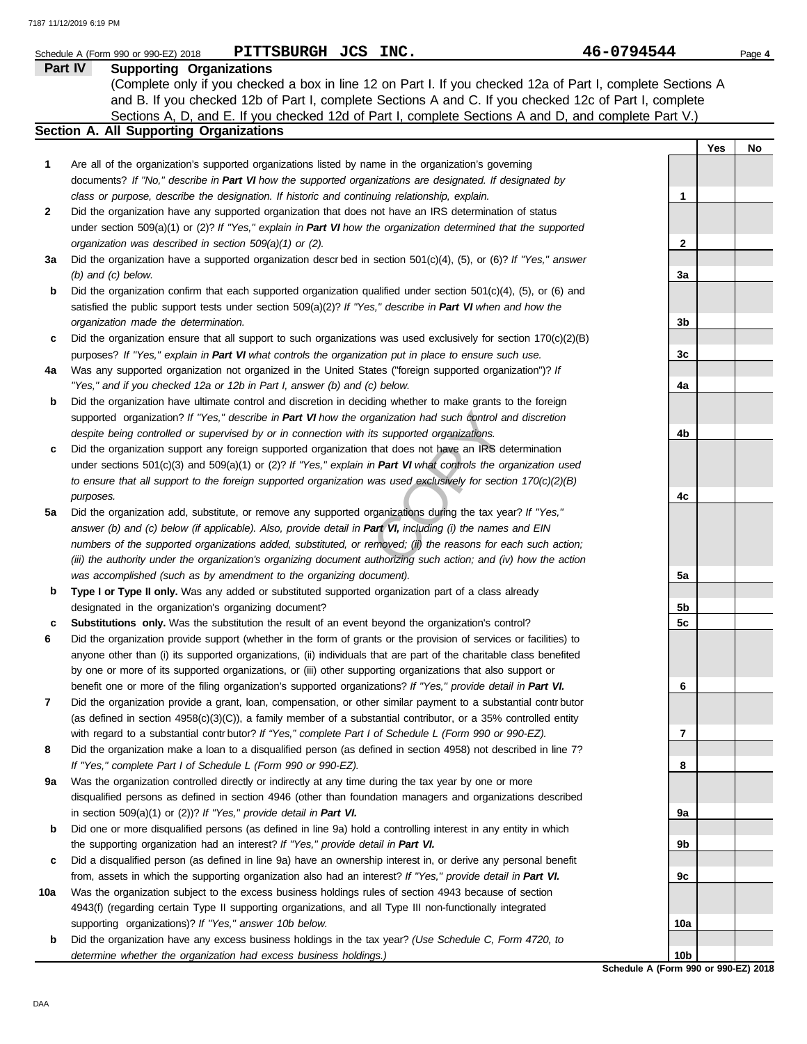| Part IV   | <b>Supporting Organizations</b><br>(Complete only if you checked a box in line 12 on Part I. If you checked 12a of Part I, complete Sections A<br>and B. If you checked 12b of Part I, complete Sections A and C. If you checked 12c of Part I, complete<br>Sections A, D, and E. If you checked 12d of Part I, complete Sections A and D, and complete Part V.)<br>Section A. All Supporting Organizations |                                                         |           |
|-----------|-------------------------------------------------------------------------------------------------------------------------------------------------------------------------------------------------------------------------------------------------------------------------------------------------------------------------------------------------------------------------------------------------------------|---------------------------------------------------------|-----------|
|           |                                                                                                                                                                                                                                                                                                                                                                                                             |                                                         |           |
|           |                                                                                                                                                                                                                                                                                                                                                                                                             |                                                         |           |
|           |                                                                                                                                                                                                                                                                                                                                                                                                             |                                                         |           |
|           |                                                                                                                                                                                                                                                                                                                                                                                                             |                                                         |           |
|           |                                                                                                                                                                                                                                                                                                                                                                                                             |                                                         |           |
|           |                                                                                                                                                                                                                                                                                                                                                                                                             |                                                         | Yes<br>No |
| 1         | Are all of the organization's supported organizations listed by name in the organization's governing                                                                                                                                                                                                                                                                                                        |                                                         |           |
|           | documents? If "No," describe in Part VI how the supported organizations are designated. If designated by                                                                                                                                                                                                                                                                                                    |                                                         |           |
|           | class or purpose, describe the designation. If historic and continuing relationship, explain.                                                                                                                                                                                                                                                                                                               | 1                                                       |           |
| 2         | Did the organization have any supported organization that does not have an IRS determination of status                                                                                                                                                                                                                                                                                                      |                                                         |           |
|           | under section 509(a)(1) or (2)? If "Yes," explain in Part VI how the organization determined that the supported                                                                                                                                                                                                                                                                                             |                                                         |           |
|           | organization was described in section $509(a)(1)$ or (2).                                                                                                                                                                                                                                                                                                                                                   | 2                                                       |           |
| За        | Did the organization have a supported organization descrbed in section $501(c)(4)$ , $(5)$ , or $(6)?$ If "Yes," answer                                                                                                                                                                                                                                                                                     |                                                         |           |
|           | $(b)$ and $(c)$ below.                                                                                                                                                                                                                                                                                                                                                                                      | За                                                      |           |
| b         | Did the organization confirm that each supported organization qualified under section $501(c)(4)$ , $(5)$ , or $(6)$ and                                                                                                                                                                                                                                                                                    |                                                         |           |
|           | satisfied the public support tests under section 509(a)(2)? If "Yes," describe in Part VI when and how the                                                                                                                                                                                                                                                                                                  |                                                         |           |
|           | organization made the determination.                                                                                                                                                                                                                                                                                                                                                                        | 3b                                                      |           |
| c         | Did the organization ensure that all support to such organizations was used exclusively for section $170(c)(2)(B)$                                                                                                                                                                                                                                                                                          |                                                         |           |
|           | purposes? If "Yes," explain in Part VI what controls the organization put in place to ensure such use.                                                                                                                                                                                                                                                                                                      | 3c                                                      |           |
| 4a        | Was any supported organization not organized in the United States ("foreign supported organization")? If                                                                                                                                                                                                                                                                                                    |                                                         |           |
|           | "Yes," and if you checked 12a or 12b in Part I, answer (b) and (c) below.                                                                                                                                                                                                                                                                                                                                   | 4a                                                      |           |
| b         | Did the organization have ultimate control and discretion in deciding whether to make grants to the foreign                                                                                                                                                                                                                                                                                                 |                                                         |           |
|           | supported organization? If "Yes," describe in Part VI how the organization had such control and discretion                                                                                                                                                                                                                                                                                                  |                                                         |           |
|           | despite being controlled or supervised by or in connection with its supported organizations.                                                                                                                                                                                                                                                                                                                | 4b                                                      |           |
| c         | Did the organization support any foreign supported organization that does not have an IRS determination                                                                                                                                                                                                                                                                                                     |                                                         |           |
|           | under sections $501(c)(3)$ and $509(a)(1)$ or (2)? If "Yes," explain in Part VI what controls the organization used                                                                                                                                                                                                                                                                                         |                                                         |           |
|           | to ensure that all support to the foreign supported organization was used exclusively for section $170(c)(2)(B)$                                                                                                                                                                                                                                                                                            |                                                         |           |
| purposes. |                                                                                                                                                                                                                                                                                                                                                                                                             | 4c                                                      |           |
| 5a        | Did the organization add, substitute, or remove any supported organizations during the tax year? If "Yes,"                                                                                                                                                                                                                                                                                                  |                                                         |           |
|           | answer (b) and (c) below (if applicable). Also, provide detail in Part VI, including (i) the names and EIN                                                                                                                                                                                                                                                                                                  |                                                         |           |
|           | numbers of the supported organizations added, substituted, or removed; (ii) the reasons for each such action;                                                                                                                                                                                                                                                                                               |                                                         |           |
|           | (iii) the authority under the organization's organizing document authorizing such action; and (iv) how the action                                                                                                                                                                                                                                                                                           |                                                         |           |
|           | was accomplished (such as by amendment to the organizing document).                                                                                                                                                                                                                                                                                                                                         | 5a                                                      |           |
| b         | Type I or Type II only. Was any added or substituted supported organization part of a class already                                                                                                                                                                                                                                                                                                         |                                                         |           |
|           | designated in the organization's organizing document?                                                                                                                                                                                                                                                                                                                                                       | 5b                                                      |           |
| c         | Substitutions only. Was the substitution the result of an event beyond the organization's control?                                                                                                                                                                                                                                                                                                          | 5c                                                      |           |
| 6         | Did the organization provide support (whether in the form of grants or the provision of services or facilities) to                                                                                                                                                                                                                                                                                          |                                                         |           |
|           | anyone other than (i) its supported organizations, (ii) individuals that are part of the charitable class benefited                                                                                                                                                                                                                                                                                         |                                                         |           |
|           | by one or more of its supported organizations, or (iii) other supporting organizations that also support or                                                                                                                                                                                                                                                                                                 |                                                         |           |
|           | benefit one or more of the filing organization's supported organizations? If "Yes," provide detail in Part VI.                                                                                                                                                                                                                                                                                              | 6                                                       |           |
| 7         | Did the organization provide a grant, loan, compensation, or other similar payment to a substantial contributor                                                                                                                                                                                                                                                                                             |                                                         |           |
|           | (as defined in section $4958(c)(3)(C)$ ), a family member of a substantial contributor, or a 35% controlled entity                                                                                                                                                                                                                                                                                          |                                                         |           |
|           | with regard to a substantial contributor? If "Yes," complete Part I of Schedule L (Form 990 or 990-EZ).                                                                                                                                                                                                                                                                                                     | 7                                                       |           |
| 8         | Did the organization make a loan to a disqualified person (as defined in section 4958) not described in line 7?                                                                                                                                                                                                                                                                                             |                                                         |           |
|           | If "Yes," complete Part I of Schedule L (Form 990 or 990-EZ).                                                                                                                                                                                                                                                                                                                                               | 8                                                       |           |
| 9а        | Was the organization controlled directly or indirectly at any time during the tax year by one or more                                                                                                                                                                                                                                                                                                       |                                                         |           |
|           | disqualified persons as defined in section 4946 (other than foundation managers and organizations described                                                                                                                                                                                                                                                                                                 |                                                         |           |
|           | in section $509(a)(1)$ or (2))? If "Yes," provide detail in Part VI.                                                                                                                                                                                                                                                                                                                                        | 9a                                                      |           |
| b         | Did one or more disqualified persons (as defined in line 9a) hold a controlling interest in any entity in which                                                                                                                                                                                                                                                                                             |                                                         |           |
|           | the supporting organization had an interest? If "Yes," provide detail in Part VI.                                                                                                                                                                                                                                                                                                                           | 9b                                                      |           |
| c         | Did a disqualified person (as defined in line 9a) have an ownership interest in, or derive any personal benefit                                                                                                                                                                                                                                                                                             |                                                         |           |
|           | from, assets in which the supporting organization also had an interest? If "Yes," provide detail in Part VI.                                                                                                                                                                                                                                                                                                | 9c                                                      |           |
| 10a       | Was the organization subject to the excess business holdings rules of section 4943 because of section                                                                                                                                                                                                                                                                                                       |                                                         |           |
|           | 4943(f) (regarding certain Type II supporting organizations, and all Type III non-functionally integrated                                                                                                                                                                                                                                                                                                   |                                                         |           |
|           | supporting organizations)? If "Yes," answer 10b below.                                                                                                                                                                                                                                                                                                                                                      | 10a                                                     |           |
| b         | Did the organization have any excess business holdings in the tax year? (Use Schedule C, Form 4720, to                                                                                                                                                                                                                                                                                                      |                                                         |           |
|           | determine whether the organization had excess business holdings.)                                                                                                                                                                                                                                                                                                                                           | 10 <sub>b</sub><br>Schedule A (Form 990 or 990-EZ) 2018 |           |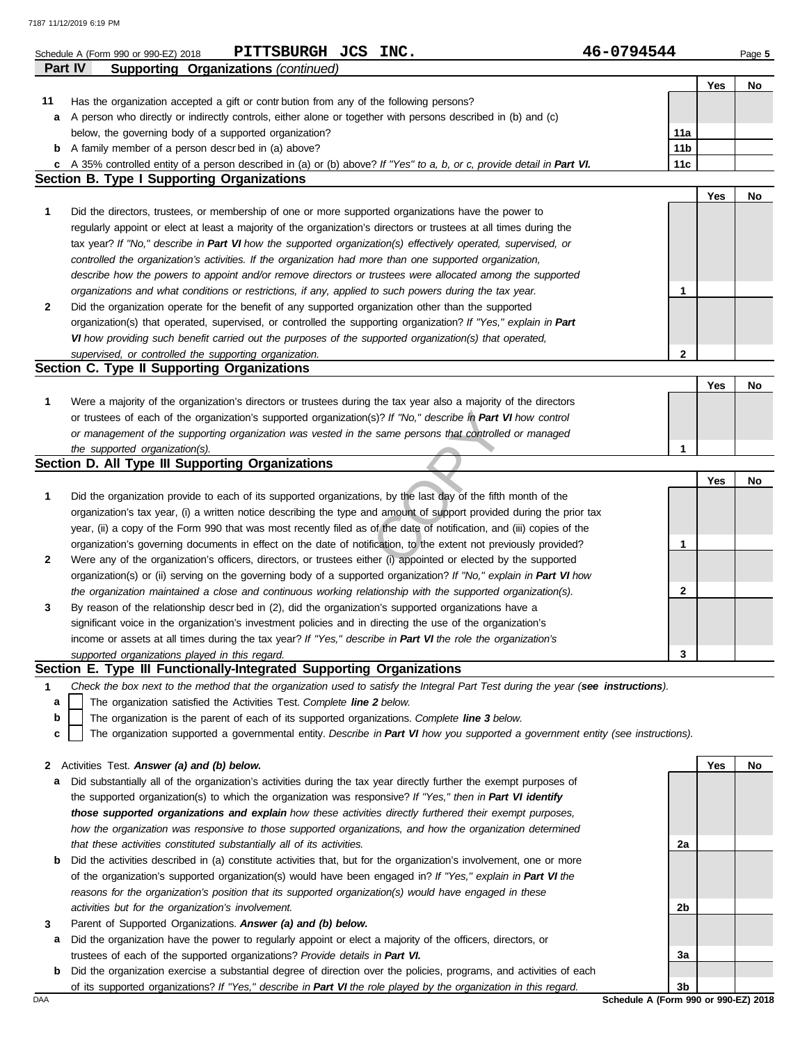|              | PITTSBURGH JCS INC.<br>Schedule A (Form 990 or 990-EZ) 2018                                                                                                                                                                              | 46-0794544             |     | Page 5 |
|--------------|------------------------------------------------------------------------------------------------------------------------------------------------------------------------------------------------------------------------------------------|------------------------|-----|--------|
| Part IV      | <b>Supporting Organizations (continued)</b>                                                                                                                                                                                              |                        |     |        |
|              |                                                                                                                                                                                                                                          |                        | Yes | No     |
| 11           | Has the organization accepted a gift or contrbution from any of the following persons?                                                                                                                                                   |                        |     |        |
| а            | A person who directly or indirectly controls, either alone or together with persons described in (b) and (c)                                                                                                                             |                        |     |        |
|              | below, the governing body of a supported organization?                                                                                                                                                                                   | 11a<br>11 <sub>b</sub> |     |        |
|              | <b>b</b> A family member of a person descr bed in (a) above?<br>c A 35% controlled entity of a person described in (a) or (b) above? If "Yes" to a, b, or c, provide detail in Part VI.                                                  | 11c                    |     |        |
|              | <b>Section B. Type I Supporting Organizations</b>                                                                                                                                                                                        |                        |     |        |
|              |                                                                                                                                                                                                                                          |                        | Yes | No     |
| 1            | Did the directors, trustees, or membership of one or more supported organizations have the power to                                                                                                                                      |                        |     |        |
|              | regularly appoint or elect at least a majority of the organization's directors or trustees at all times during the                                                                                                                       |                        |     |        |
|              | tax year? If "No," describe in Part VI how the supported organization(s) effectively operated, supervised, or                                                                                                                            |                        |     |        |
|              | controlled the organization's activities. If the organization had more than one supported organization,                                                                                                                                  |                        |     |        |
|              | describe how the powers to appoint and/or remove directors or trustees were allocated among the supported                                                                                                                                |                        |     |        |
|              | organizations and what conditions or restrictions, if any, applied to such powers during the tax year.                                                                                                                                   | 1                      |     |        |
| 2            | Did the organization operate for the benefit of any supported organization other than the supported                                                                                                                                      |                        |     |        |
|              | organization(s) that operated, supervised, or controlled the supporting organization? If "Yes," explain in Part                                                                                                                          |                        |     |        |
|              | VI how providing such benefit carried out the purposes of the supported organization(s) that operated,                                                                                                                                   |                        |     |        |
|              | supervised, or controlled the supporting organization.                                                                                                                                                                                   | $\mathbf{2}$           |     |        |
|              | Section C. Type II Supporting Organizations                                                                                                                                                                                              |                        |     |        |
|              |                                                                                                                                                                                                                                          |                        | Yes | No     |
| 1            | Were a majority of the organization's directors or trustees during the tax year also a majority of the directors                                                                                                                         |                        |     |        |
|              | or trustees of each of the organization's supported organization(s)? If "No," describe in Part VI how control                                                                                                                            |                        |     |        |
|              | or management of the supporting organization was vested in the same persons that controlled or managed                                                                                                                                   | 1                      |     |        |
|              | the supported organization(s).<br>Section D. All Type III Supporting Organizations                                                                                                                                                       |                        |     |        |
|              |                                                                                                                                                                                                                                          |                        | Yes | No     |
| 1            | Did the organization provide to each of its supported organizations, by the last day of the fifth month of the                                                                                                                           |                        |     |        |
|              | organization's tax year, (i) a written notice describing the type and amount of support provided during the prior tax                                                                                                                    |                        |     |        |
|              | year, (ii) a copy of the Form 990 that was most recently filed as of the date of notification, and (iii) copies of the                                                                                                                   |                        |     |        |
|              | organization's governing documents in effect on the date of notification, to the extent not previously provided?                                                                                                                         | 1                      |     |        |
| 2            | Were any of the organization's officers, directors, or trustees either (i) appointed or elected by the supported                                                                                                                         |                        |     |        |
|              | organization(s) or (ii) serving on the governing body of a supported organization? If "No," explain in Part VI how                                                                                                                       |                        |     |        |
|              | the organization maintained a close and continuous working relationship with the supported organization(s).                                                                                                                              | 2                      |     |        |
| 3            | By reason of the relationship descrbed in (2), did the organization's supported organizations have a                                                                                                                                     |                        |     |        |
|              | significant voice in the organization's investment policies and in directing the use of the organization's                                                                                                                               |                        |     |        |
|              | income or assets at all times during the tax year? If "Yes," describe in Part VI the role the organization's                                                                                                                             |                        |     |        |
|              | supported organizations played in this regard.                                                                                                                                                                                           | 3                      |     |        |
|              | Section E. Type III Functionally-Integrated Supporting Organizations                                                                                                                                                                     |                        |     |        |
| $\mathbf{1}$ | Check the box next to the method that the organization used to satisfy the Integral Part Test during the year (see instructions).                                                                                                        |                        |     |        |
| a<br>b       | The organization satisfied the Activities Test. Complete line 2 below.<br>The organization is the parent of each of its supported organizations. Complete line 3 below.                                                                  |                        |     |        |
| с            | The organization supported a governmental entity. Describe in Part VI how you supported a government entity (see instructions).                                                                                                          |                        |     |        |
|              |                                                                                                                                                                                                                                          |                        |     |        |
|              | 2 Activities Test. Answer (a) and (b) below.                                                                                                                                                                                             |                        | Yes | No     |
| а            | Did substantially all of the organization's activities during the tax year directly further the exempt purposes of                                                                                                                       |                        |     |        |
|              | the supported organization(s) to which the organization was responsive? If "Yes," then in Part VI identify                                                                                                                               |                        |     |        |
|              | those supported organizations and explain how these activities directly furthered their exempt purposes,                                                                                                                                 |                        |     |        |
|              | how the organization was responsive to those supported organizations, and how the organization determined                                                                                                                                |                        |     |        |
|              | that these activities constituted substantially all of its activities.                                                                                                                                                                   | 2a                     |     |        |
| b            | Did the activities described in (a) constitute activities that, but for the organization's involvement, one or more                                                                                                                      |                        |     |        |
|              | of the organization's supported organization(s) would have been engaged in? If "Yes," explain in Part VI the                                                                                                                             |                        |     |        |
|              | reasons for the organization's position that its supported organization(s) would have engaged in these                                                                                                                                   |                        |     |        |
|              | activities but for the organization's involvement.                                                                                                                                                                                       | 2b                     |     |        |
| 3            | Parent of Supported Organizations. Answer (a) and (b) below.                                                                                                                                                                             |                        |     |        |
| а            | Did the organization have the power to regularly appoint or elect a majority of the officers, directors, or                                                                                                                              |                        |     |        |
|              | trustees of each of the supported organizations? Provide details in Part VI.                                                                                                                                                             | За                     |     |        |
| b            | Did the organization exercise a substantial degree of direction over the policies, programs, and activities of each<br>of its supported organizations? If "Yes," describe in Part VI the role played by the organization in this regard. | 3 <sub>b</sub>         |     |        |
|              |                                                                                                                                                                                                                                          |                        |     |        |

DAA **Schedule A (Form 990 or 990-EZ) 2018**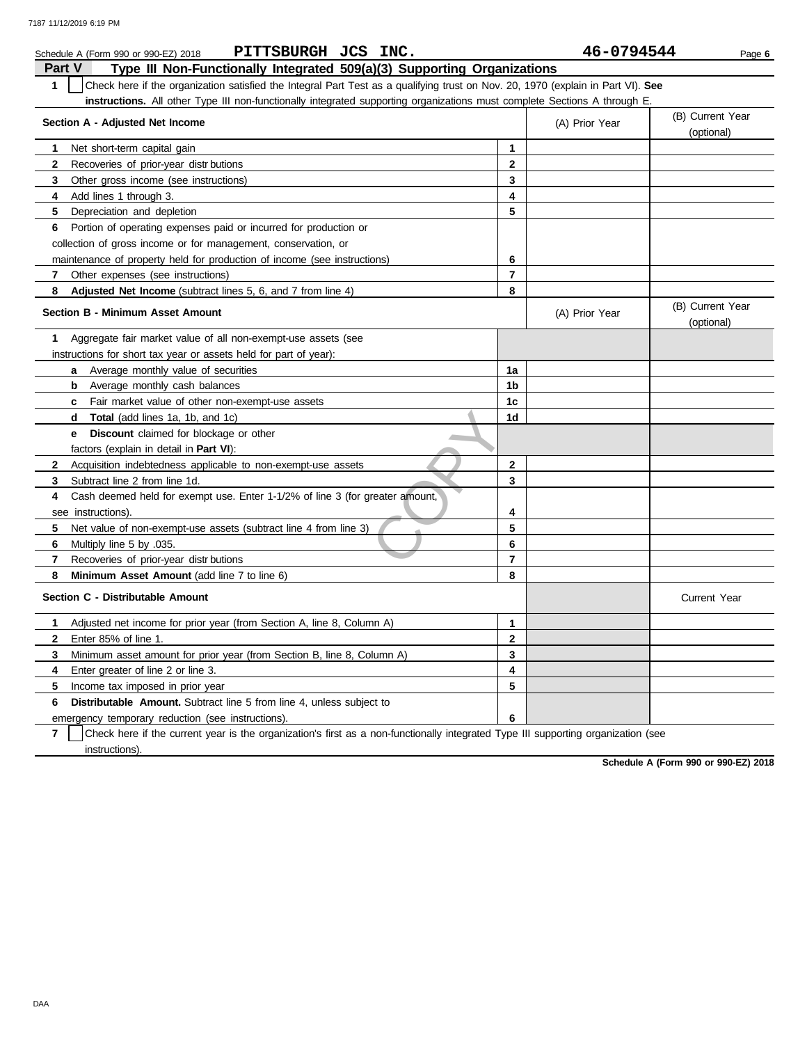|              | PITTSBURGH JCS INC.<br>Schedule A (Form 990 or 990-EZ) 2018                                                                      |                | 46-0794544     | Page 6                         |
|--------------|----------------------------------------------------------------------------------------------------------------------------------|----------------|----------------|--------------------------------|
| Part V       | Type III Non-Functionally Integrated 509(a)(3) Supporting Organizations                                                          |                |                |                                |
| $\mathbf{1}$ | Check here if the organization satisfied the Integral Part Test as a qualifying trust on Nov. 20, 1970 (explain in Part VI). See |                |                |                                |
|              | <b>instructions.</b> All other Type III non-functionally integrated supporting organizations must complete Sections A through E. |                |                |                                |
|              | Section A - Adjusted Net Income                                                                                                  |                | (A) Prior Year | (B) Current Year               |
|              |                                                                                                                                  |                |                | (optional)                     |
| 1            | Net short-term capital gain                                                                                                      | 1              |                |                                |
| $\mathbf{2}$ | Recoveries of prior-year distrbutions                                                                                            | $\overline{2}$ |                |                                |
| 3            | Other gross income (see instructions)                                                                                            | 3              |                |                                |
| 4            | Add lines 1 through 3.                                                                                                           | 4              |                |                                |
| 5            | Depreciation and depletion                                                                                                       | 5              |                |                                |
| 6            | Portion of operating expenses paid or incurred for production or                                                                 |                |                |                                |
|              | collection of gross income or for management, conservation, or                                                                   |                |                |                                |
|              | maintenance of property held for production of income (see instructions)                                                         | 6              |                |                                |
| 7            | Other expenses (see instructions)                                                                                                | $\overline{7}$ |                |                                |
| 8            | Adjusted Net Income (subtract lines 5, 6, and 7 from line 4)                                                                     | 8              |                |                                |
|              | <b>Section B - Minimum Asset Amount</b>                                                                                          |                | (A) Prior Year | (B) Current Year<br>(optional) |
| 1            | Aggregate fair market value of all non-exempt-use assets (see                                                                    |                |                |                                |
|              | instructions for short tax year or assets held for part of year):                                                                |                |                |                                |
|              | Average monthly value of securities<br>a                                                                                         | 1a             |                |                                |
|              | Average monthly cash balances<br>b                                                                                               | 1b             |                |                                |
|              | Fair market value of other non-exempt-use assets<br>c                                                                            | 1 <sub>c</sub> |                |                                |
|              | <b>Total</b> (add lines 1a, 1b, and 1c)<br>d                                                                                     | 1 <sub>d</sub> |                |                                |
|              | Discount claimed for blockage or other<br>e                                                                                      |                |                |                                |
|              | factors (explain in detail in <b>Part VI</b> ):                                                                                  |                |                |                                |
| $\mathbf{2}$ | Acquisition indebtedness applicable to non-exempt-use assets                                                                     | $\mathbf{2}$   |                |                                |
| 3            | Subtract line 2 from line 1d.                                                                                                    | 3              |                |                                |
| 4            | Cash deemed held for exempt use. Enter 1-1/2% of line 3 (for greater amount,                                                     |                |                |                                |
|              | see instructions).                                                                                                               | 4              |                |                                |
| 5            | Net value of non-exempt-use assets (subtract line 4 from line 3)                                                                 | 5              |                |                                |
| 6            | Multiply line 5 by .035.                                                                                                         | 6              |                |                                |
| 7            | Recoveries of prior-year distrbutions                                                                                            | 7              |                |                                |
| 8            | <b>Minimum Asset Amount</b> (add line 7 to line 6)                                                                               | 8              |                |                                |
|              | Section C - Distributable Amount                                                                                                 |                |                | Current Year                   |
| 1            | Adjusted net income for prior year (from Section A, line 8, Column A)                                                            | $\mathbf{1}$   |                |                                |
| $\mathbf{2}$ | Enter 85% of line 1.                                                                                                             | $\mathbf{2}$   |                |                                |
| 3            | Minimum asset amount for prior year (from Section B, line 8, Column A)                                                           | 3              |                |                                |
| 4            | Enter greater of line 2 or line 3.                                                                                               | 4              |                |                                |
| 5            | Income tax imposed in prior year                                                                                                 | 5              |                |                                |
| 6            | <b>Distributable Amount.</b> Subtract line 5 from line 4, unless subject to                                                      |                |                |                                |
|              | emergency temporary reduction (see instructions).                                                                                | 6              |                |                                |

**7** | Check here if the current year is the organization's first as a non-functionally integrated Type III supporting organization (see instructions).

**Schedule A (Form 990 or 990-EZ) 2018**

DAA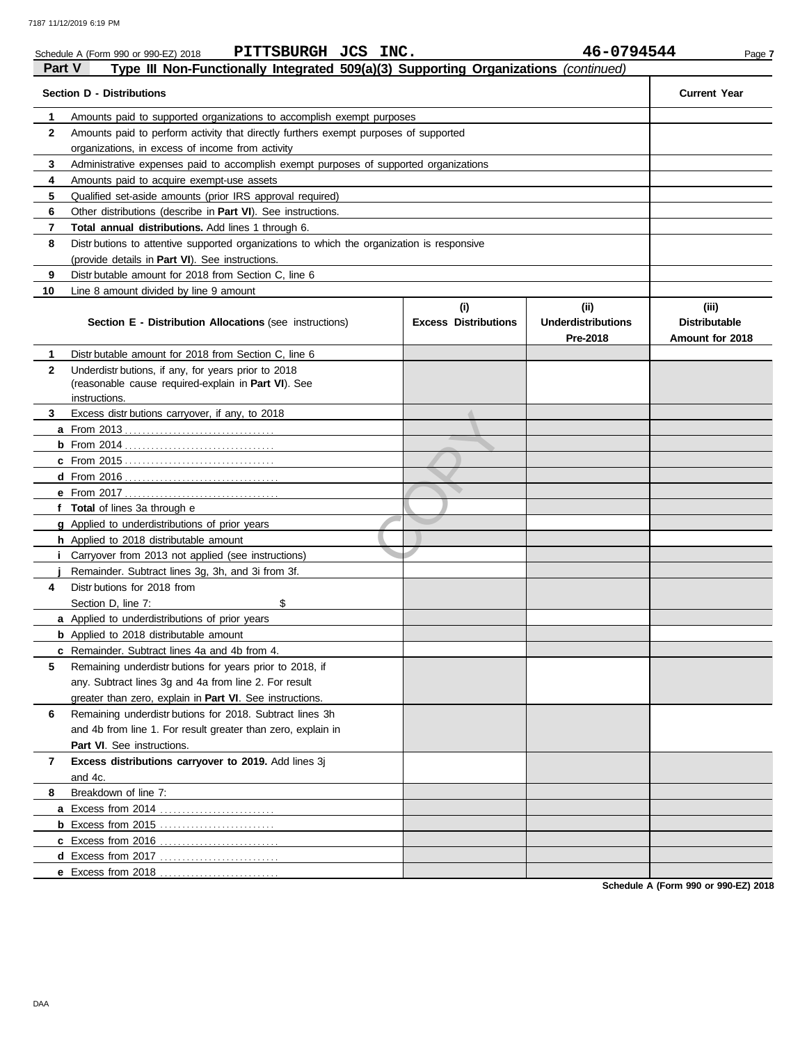|               | PITTSBURGH JCS INC.<br>Schedule A (Form 990 or 990-EZ) 2018                                                |                                    | 46-0794544                                    | Page 7                                           |
|---------------|------------------------------------------------------------------------------------------------------------|------------------------------------|-----------------------------------------------|--------------------------------------------------|
| <b>Part V</b> | Type III Non-Functionally Integrated 509(a)(3) Supporting Organizations (continued)                        |                                    |                                               |                                                  |
|               | <b>Section D - Distributions</b>                                                                           |                                    |                                               | <b>Current Year</b>                              |
| 1             | Amounts paid to supported organizations to accomplish exempt purposes                                      |                                    |                                               |                                                  |
| 2             | Amounts paid to perform activity that directly furthers exempt purposes of supported                       |                                    |                                               |                                                  |
|               | organizations, in excess of income from activity                                                           |                                    |                                               |                                                  |
| 3             | Administrative expenses paid to accomplish exempt purposes of supported organizations                      |                                    |                                               |                                                  |
| 4             | Amounts paid to acquire exempt-use assets                                                                  |                                    |                                               |                                                  |
| 5             | Qualified set-aside amounts (prior IRS approval required)                                                  |                                    |                                               |                                                  |
| 6             | Other distributions (describe in Part VI). See instructions.                                               |                                    |                                               |                                                  |
| 7             | Total annual distributions. Add lines 1 through 6.                                                         |                                    |                                               |                                                  |
| 8             | Distr butions to attentive supported organizations to which the organization is responsive                 |                                    |                                               |                                                  |
|               | (provide details in Part VI). See instructions.                                                            |                                    |                                               |                                                  |
| 9             | Distr butable amount for 2018 from Section C, line 6                                                       |                                    |                                               |                                                  |
| 10            | Line 8 amount divided by line 9 amount                                                                     |                                    |                                               |                                                  |
|               | <b>Section E - Distribution Allocations (see instructions)</b>                                             | (i)<br><b>Excess Distributions</b> | (ii)<br><b>Underdistributions</b><br>Pre-2018 | (iii)<br><b>Distributable</b><br>Amount for 2018 |
| 1             | Distr butable amount for 2018 from Section C, line 6                                                       |                                    |                                               |                                                  |
| $\mathbf{2}$  | Underdistr butions, if any, for years prior to 2018<br>(reasonable cause required-explain in Part VI). See |                                    |                                               |                                                  |
|               | instructions.                                                                                              |                                    |                                               |                                                  |
| 3             | Excess distrbutions carryover, if any, to 2018                                                             |                                    |                                               |                                                  |
|               |                                                                                                            |                                    |                                               |                                                  |
|               |                                                                                                            |                                    |                                               |                                                  |
|               |                                                                                                            |                                    |                                               |                                                  |
|               |                                                                                                            |                                    |                                               |                                                  |
|               |                                                                                                            |                                    |                                               |                                                  |
|               | f Total of lines 3a through e                                                                              |                                    |                                               |                                                  |
|               | g Applied to underdistributions of prior years<br>h Applied to 2018 distributable amount                   |                                    |                                               |                                                  |
|               | Carryover from 2013 not applied (see instructions)                                                         |                                    |                                               |                                                  |
| Î.            |                                                                                                            |                                    |                                               |                                                  |
| 4             | Remainder. Subtract lines 3g, 3h, and 3i from 3f.<br>Distr butions for 2018 from                           |                                    |                                               |                                                  |
|               | Section D, line 7:<br>\$                                                                                   |                                    |                                               |                                                  |
|               | a Applied to underdistributions of prior years                                                             |                                    |                                               |                                                  |
|               | <b>b</b> Applied to 2018 distributable amount                                                              |                                    |                                               |                                                  |
|               | c Remainder. Subtract lines 4a and 4b from 4.                                                              |                                    |                                               |                                                  |
| 5             | Remaining underdistr butions for years prior to 2018, if                                                   |                                    |                                               |                                                  |
|               | any. Subtract lines 3g and 4a from line 2. For result                                                      |                                    |                                               |                                                  |
|               | greater than zero, explain in Part VI. See instructions.                                                   |                                    |                                               |                                                  |
| 6             | Remaining underdistr butions for 2018. Subtract lines 3h                                                   |                                    |                                               |                                                  |
|               |                                                                                                            |                                    |                                               |                                                  |
|               | and 4b from line 1. For result greater than zero, explain in                                               |                                    |                                               |                                                  |
|               | Part VI. See instructions.                                                                                 |                                    |                                               |                                                  |
| 7             | Excess distributions carryover to 2019. Add lines 3j                                                       |                                    |                                               |                                                  |
|               | and 4c.                                                                                                    |                                    |                                               |                                                  |
| 8             | Breakdown of line 7:                                                                                       |                                    |                                               |                                                  |
|               | a Excess from 2014                                                                                         |                                    |                                               |                                                  |
|               | <b>b</b> Excess from 2015                                                                                  |                                    |                                               |                                                  |
|               |                                                                                                            |                                    |                                               |                                                  |
|               |                                                                                                            |                                    |                                               |                                                  |
|               | e Excess from 2018                                                                                         |                                    |                                               |                                                  |

**Schedule A (Form 990 or 990-EZ) 2018**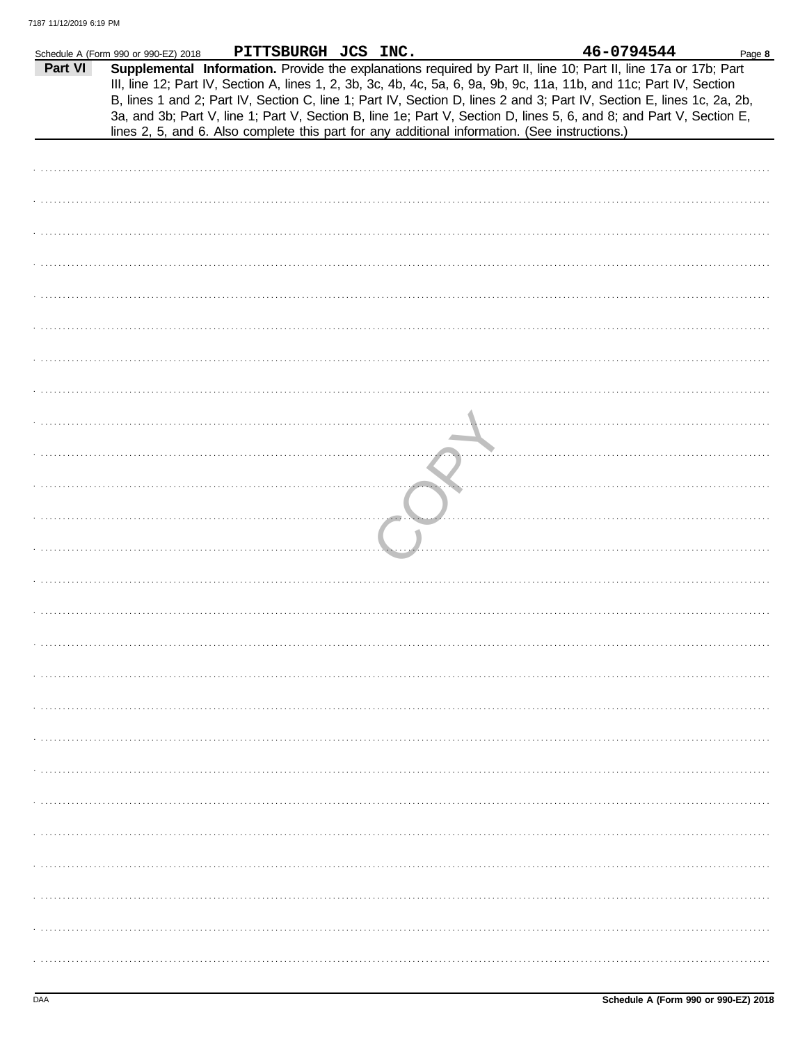|         | Schedule A (Form 990 or 990-EZ) 2018 | PITTSBURGH JCS INC. |  |                                                                                                                                                                                                                                                                                                                                                                                                                                                                                                                                                                                             | 46-0794544 | Page 8 |
|---------|--------------------------------------|---------------------|--|---------------------------------------------------------------------------------------------------------------------------------------------------------------------------------------------------------------------------------------------------------------------------------------------------------------------------------------------------------------------------------------------------------------------------------------------------------------------------------------------------------------------------------------------------------------------------------------------|------------|--------|
| Part VI |                                      |                     |  | Supplemental Information. Provide the explanations required by Part II, line 10; Part II, line 17a or 17b; Part<br>III, line 12; Part IV, Section A, lines 1, 2, 3b, 3c, 4b, 4c, 5a, 6, 9a, 9b, 9c, 11a, 11b, and 11c; Part IV, Section<br>B, lines 1 and 2; Part IV, Section C, line 1; Part IV, Section D, lines 2 and 3; Part IV, Section E, lines 1c, 2a, 2b,<br>3a, and 3b; Part V, line 1; Part V, Section B, line 1e; Part V, Section D, lines 5, 6, and 8; and Part V, Section E,<br>lines 2, 5, and 6. Also complete this part for any additional information. (See instructions.) |            |        |
|         |                                      |                     |  |                                                                                                                                                                                                                                                                                                                                                                                                                                                                                                                                                                                             |            |        |
|         |                                      |                     |  |                                                                                                                                                                                                                                                                                                                                                                                                                                                                                                                                                                                             |            |        |
|         |                                      |                     |  |                                                                                                                                                                                                                                                                                                                                                                                                                                                                                                                                                                                             |            |        |
|         |                                      |                     |  |                                                                                                                                                                                                                                                                                                                                                                                                                                                                                                                                                                                             |            |        |
|         |                                      |                     |  |                                                                                                                                                                                                                                                                                                                                                                                                                                                                                                                                                                                             |            |        |
|         |                                      |                     |  |                                                                                                                                                                                                                                                                                                                                                                                                                                                                                                                                                                                             |            |        |
|         |                                      |                     |  |                                                                                                                                                                                                                                                                                                                                                                                                                                                                                                                                                                                             |            |        |
|         |                                      |                     |  |                                                                                                                                                                                                                                                                                                                                                                                                                                                                                                                                                                                             |            |        |
|         |                                      |                     |  |                                                                                                                                                                                                                                                                                                                                                                                                                                                                                                                                                                                             |            |        |
|         |                                      |                     |  |                                                                                                                                                                                                                                                                                                                                                                                                                                                                                                                                                                                             |            |        |
|         |                                      |                     |  |                                                                                                                                                                                                                                                                                                                                                                                                                                                                                                                                                                                             |            |        |
|         |                                      |                     |  |                                                                                                                                                                                                                                                                                                                                                                                                                                                                                                                                                                                             |            |        |
|         |                                      |                     |  |                                                                                                                                                                                                                                                                                                                                                                                                                                                                                                                                                                                             |            |        |
|         |                                      |                     |  |                                                                                                                                                                                                                                                                                                                                                                                                                                                                                                                                                                                             |            |        |
|         |                                      |                     |  |                                                                                                                                                                                                                                                                                                                                                                                                                                                                                                                                                                                             |            |        |
|         |                                      |                     |  |                                                                                                                                                                                                                                                                                                                                                                                                                                                                                                                                                                                             |            |        |
|         |                                      |                     |  |                                                                                                                                                                                                                                                                                                                                                                                                                                                                                                                                                                                             |            |        |
|         |                                      |                     |  |                                                                                                                                                                                                                                                                                                                                                                                                                                                                                                                                                                                             |            |        |
|         |                                      |                     |  |                                                                                                                                                                                                                                                                                                                                                                                                                                                                                                                                                                                             |            |        |
|         |                                      |                     |  |                                                                                                                                                                                                                                                                                                                                                                                                                                                                                                                                                                                             |            |        |
|         |                                      |                     |  |                                                                                                                                                                                                                                                                                                                                                                                                                                                                                                                                                                                             |            |        |
|         |                                      |                     |  |                                                                                                                                                                                                                                                                                                                                                                                                                                                                                                                                                                                             |            |        |
|         |                                      |                     |  |                                                                                                                                                                                                                                                                                                                                                                                                                                                                                                                                                                                             |            |        |
|         |                                      |                     |  |                                                                                                                                                                                                                                                                                                                                                                                                                                                                                                                                                                                             |            |        |
|         |                                      |                     |  |                                                                                                                                                                                                                                                                                                                                                                                                                                                                                                                                                                                             |            |        |
|         |                                      |                     |  |                                                                                                                                                                                                                                                                                                                                                                                                                                                                                                                                                                                             |            |        |
|         |                                      |                     |  |                                                                                                                                                                                                                                                                                                                                                                                                                                                                                                                                                                                             |            |        |
|         |                                      |                     |  |                                                                                                                                                                                                                                                                                                                                                                                                                                                                                                                                                                                             |            |        |